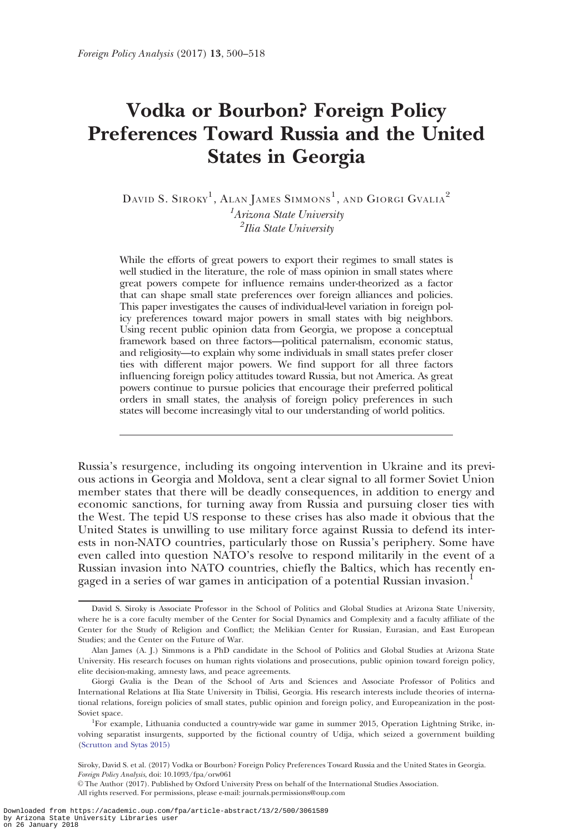# Vodka or Bourbon? Foreign Policy Preferences Toward Russia and the United States in Georgia

 $\mathrm{D}$ avid S. Siroky $^1$ , Alan James Simmons $^1$ , and Giorgi Gvalia $^2$ <sup>1</sup>Arizona State University <sup>2</sup>Ilia State University

While the efforts of great powers to export their regimes to small states is well studied in the literature, the role of mass opinion in small states where great powers compete for influence remains under-theorized as a factor that can shape small state preferences over foreign alliances and policies. This paper investigates the causes of individual-level variation in foreign policy preferences toward major powers in small states with big neighbors. Using recent public opinion data from Georgia, we propose a conceptual framework based on three factors—political paternalism, economic status, and religiosity—to explain why some individuals in small states prefer closer ties with different major powers. We find support for all three factors influencing foreign policy attitudes toward Russia, but not America. As great powers continue to pursue policies that encourage their preferred political orders in small states, the analysis of foreign policy preferences in such states will become increasingly vital to our understanding of world politics.

Russia's resurgence, including its ongoing intervention in Ukraine and its previous actions in Georgia and Moldova, sent a clear signal to all former Soviet Union member states that there will be deadly consequences, in addition to energy and economic sanctions, for turning away from Russia and pursuing closer ties with the West. The tepid US response to these crises has also made it obvious that the United States is unwilling to use military force against Russia to defend its interests in non-NATO countries, particularly those on Russia's periphery. Some have even called into question NATO's resolve to respond militarily in the event of a Russian invasion into NATO countries, chiefly the Baltics, which has recently engaged in a series of war games in anticipation of a potential Russian invasion.<sup>1</sup>

David S. Siroky is Associate Professor in the School of Politics and Global Studies at Arizona State University, where he is a core faculty member of the Center for Social Dynamics and Complexity and a faculty affiliate of the Center for the Study of Religion and Conflict; the Melikian Center for Russian, Eurasian, and East European Studies; and the Center on the Future of War.

Alan James (A. J.) Simmons is a PhD candidate in the School of Politics and Global Studies at Arizona State University. His research focuses on human rights violations and prosecutions, public opinion toward foreign policy, elite decision-making, amnesty laws, and peace agreements.

Giorgi Gvalia is the Dean of the School of Arts and Sciences and Associate Professor of Politics and International Relations at Ilia State University in Tbilisi, Georgia. His research interests include theories of international relations, foreign policies of small states, public opinion and foreign policy, and Europeanization in the post-Soviet space.

<sup>1</sup> For example, Lithuania conducted a country-wide war game in summer 2015, Operation Lightning Strike, involving separatist insurgents, supported by the fictional country of Udija, which seized a government building [\(Scrutton and Sytas 2015\)](#page-17-0)

Siroky, David S. et al. (2017) Vodka or Bourbon? Foreign Policy Preferences Toward Russia and the United States in Georgia. Foreign Policy Analysis, doi: 10.1093/fpa/orw061

V<sup>C</sup> The Author (2017). Published by Oxford University Press on behalf of the International Studies Association.

All rights reserved. For permissions, please e-mail: journals.permissions@oup.com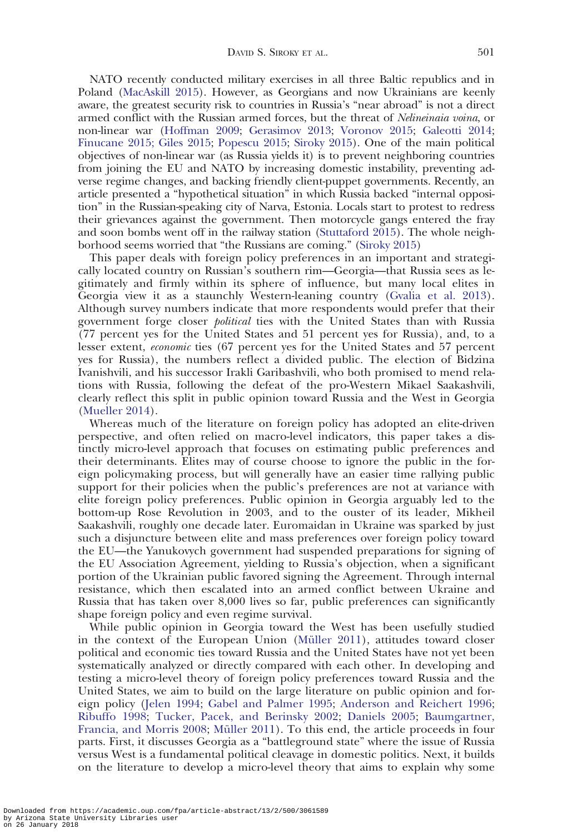NATO recently conducted military exercises in all three Baltic republics and in Poland [\(MacAskill 2015\)](#page-17-0). However, as Georgians and now Ukrainians are keenly aware, the greatest security risk to countries in Russia's "near abroad" is not a direct armed conflict with the Russian armed forces, but the threat of Nelineinaia voina, or non-linear war [\(Hoffman 2009;](#page-16-0) [Gerasimov 2013;](#page-16-0) [Voronov 2015;](#page-17-0) [Galeotti 2014;](#page-16-0) [Finucane 2015; Giles 2015](#page-16-0); [Popescu 2015;](#page-17-0) [Siroky 2015](#page-17-0)). One of the main political objectives of non-linear war (as Russia yields it) is to prevent neighboring countries from joining the EU and NATO by increasing domestic instability, preventing adverse regime changes, and backing friendly client-puppet governments. Recently, an article presented a "hypothetical situation" in which Russia backed "internal opposition" in the Russian-speaking city of Narva, Estonia. Locals start to protest to redress their grievances against the government. Then motorcycle gangs entered the fray and soon bombs went off in the railway station [\(Stuttaford 2015](#page-17-0)). The whole neighborhood seems worried that "the Russians are coming." ([Siroky 2015\)](#page-17-0)

This paper deals with foreign policy preferences in an important and strategically located country on Russian's southern rim—Georgia—that Russia sees as legitimately and firmly within its sphere of influence, but many local elites in Georgia view it as a staunchly Western-leaning country ([Gvalia et al. 2013](#page-16-0)). Although survey numbers indicate that more respondents would prefer that their government forge closer *political* ties with the United States than with Russia (77 percent yes for the United States and 51 percent yes for Russia), and, to a lesser extent, *economic* ties (67 percent yes for the United States and 57 percent yes for Russia), the numbers reflect a divided public. The election of Bidzina Ivanishvili, and his successor Irakli Garibashvili, who both promised to mend relations with Russia, following the defeat of the pro-Western Mikael Saakashvili, clearly reflect this split in public opinion toward Russia and the West in Georgia ([Mueller 2014\)](#page-17-0).

Whereas much of the literature on foreign policy has adopted an elite-driven perspective, and often relied on macro-level indicators, this paper takes a distinctly micro-level approach that focuses on estimating public preferences and their determinants. Elites may of course choose to ignore the public in the foreign policymaking process, but will generally have an easier time rallying public support for their policies when the public's preferences are not at variance with elite foreign policy preferences. Public opinion in Georgia arguably led to the bottom-up Rose Revolution in 2003, and to the ouster of its leader, Mikheil Saakashvili, roughly one decade later. Euromaidan in Ukraine was sparked by just such a disjuncture between elite and mass preferences over foreign policy toward the EU—the Yanukovych government had suspended preparations for signing of the EU Association Agreement, yielding to Russia's objection, when a significant portion of the Ukrainian public favored signing the Agreement. Through internal resistance, which then escalated into an armed conflict between Ukraine and Russia that has taken over 8,000 lives so far, public preferences can significantly shape foreign policy and even regime survival.

While public opinion in Georgia toward the West has been usefully studied in the context of the European Union (Müller 2011), attitudes toward closer political and economic ties toward Russia and the United States have not yet been systematically analyzed or directly compared with each other. In developing and testing a micro-level theory of foreign policy preferences toward Russia and the United States, we aim to build on the large literature on public opinion and foreign policy [\(Jelen 1994;](#page-16-0) [Gabel and Palmer 1995](#page-16-0); [Anderson and Reichert 1996;](#page-15-0) [Ribuffo 1998](#page-17-0); [Tucker, Pacek, and Berinsky 2002](#page-17-0); [Daniels 2005;](#page-15-0) [Baumgartner,](#page-15-0) [Francia, and Morris 2008;](#page-15-0) Müller 2011). To this end, the article proceeds in four parts. First, it discusses Georgia as a "battleground state" where the issue of Russia versus West is a fundamental political cleavage in domestic politics. Next, it builds on the literature to develop a micro-level theory that aims to explain why some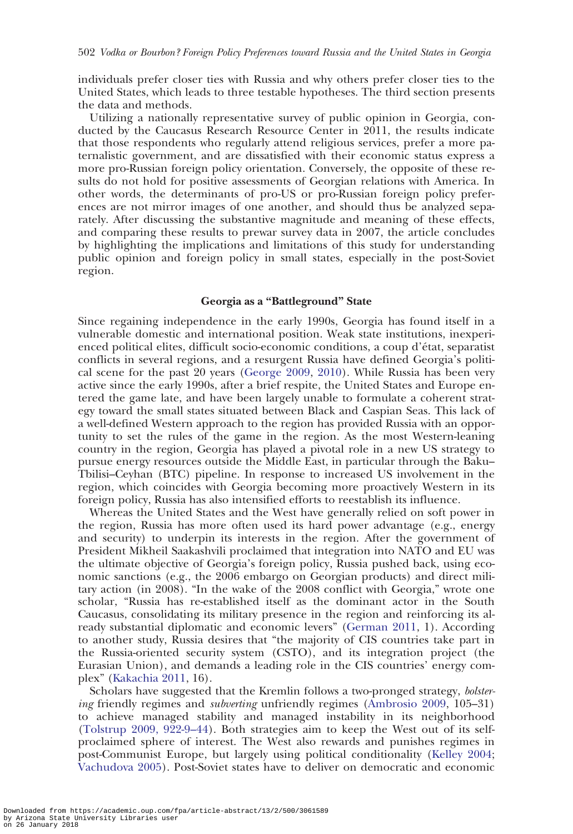individuals prefer closer ties with Russia and why others prefer closer ties to the United States, which leads to three testable hypotheses. The third section presents the data and methods.

Utilizing a nationally representative survey of public opinion in Georgia, conducted by the Caucasus Research Resource Center in 2011, the results indicate that those respondents who regularly attend religious services, prefer a more paternalistic government, and are dissatisfied with their economic status express a more pro-Russian foreign policy orientation. Conversely, the opposite of these results do not hold for positive assessments of Georgian relations with America. In other words, the determinants of pro-US or pro-Russian foreign policy preferences are not mirror images of one another, and should thus be analyzed separately. After discussing the substantive magnitude and meaning of these effects, and comparing these results to prewar survey data in 2007, the article concludes by highlighting the implications and limitations of this study for understanding public opinion and foreign policy in small states, especially in the post-Soviet region.

# Georgia as a "Battleground" State

Since regaining independence in the early 1990s, Georgia has found itself in a vulnerable domestic and international position. Weak state institutions, inexperienced political elites, difficult socio-economic conditions, a coup d'état, separatist conflicts in several regions, and a resurgent Russia have defined Georgia's political scene for the past 20 years [\(George 2009,](#page-16-0) [2010](#page-16-0)). While Russia has been very active since the early 1990s, after a brief respite, the United States and Europe entered the game late, and have been largely unable to formulate a coherent strategy toward the small states situated between Black and Caspian Seas. This lack of a well-defined Western approach to the region has provided Russia with an opportunity to set the rules of the game in the region. As the most Western-leaning country in the region, Georgia has played a pivotal role in a new US strategy to pursue energy resources outside the Middle East, in particular through the Baku– Tbilisi–Ceyhan (BTC) pipeline. In response to increased US involvement in the region, which coincides with Georgia becoming more proactively Western in its foreign policy, Russia has also intensified efforts to reestablish its influence.

Whereas the United States and the West have generally relied on soft power in the region, Russia has more often used its hard power advantage (e.g., energy and security) to underpin its interests in the region. After the government of President Mikheil Saakashvili proclaimed that integration into NATO and EU was the ultimate objective of Georgia's foreign policy, Russia pushed back, using economic sanctions (e.g., the 2006 embargo on Georgian products) and direct military action (in 2008). "In the wake of the 2008 conflict with Georgia," wrote one scholar, "Russia has re-established itself as the dominant actor in the South Caucasus, consolidating its military presence in the region and reinforcing its already substantial diplomatic and economic levers" [\(German 2011,](#page-16-0) 1). According to another study, Russia desires that "the majority of CIS countries take part in the Russia-oriented security system (CSTO), and its integration project (the Eurasian Union), and demands a leading role in the CIS countries' energy complex" [\(Kakachia 2011,](#page-16-0) 16).

Scholars have suggested that the Kremlin follows a two-pronged strategy, bolstering friendly regimes and subverting unfriendly regimes ([Ambrosio 2009](#page-15-0), 105–31) to achieve managed stability and managed instability in its neighborhood ([Tolstrup 2009, 922-9–44\)](#page-17-0). Both strategies aim to keep the West out of its selfproclaimed sphere of interest. The West also rewards and punishes regimes in post-Communist Europe, but largely using political conditionality ([Kelley 2004;](#page-16-0) [Vachudova 2005\)](#page-17-0). Post-Soviet states have to deliver on democratic and economic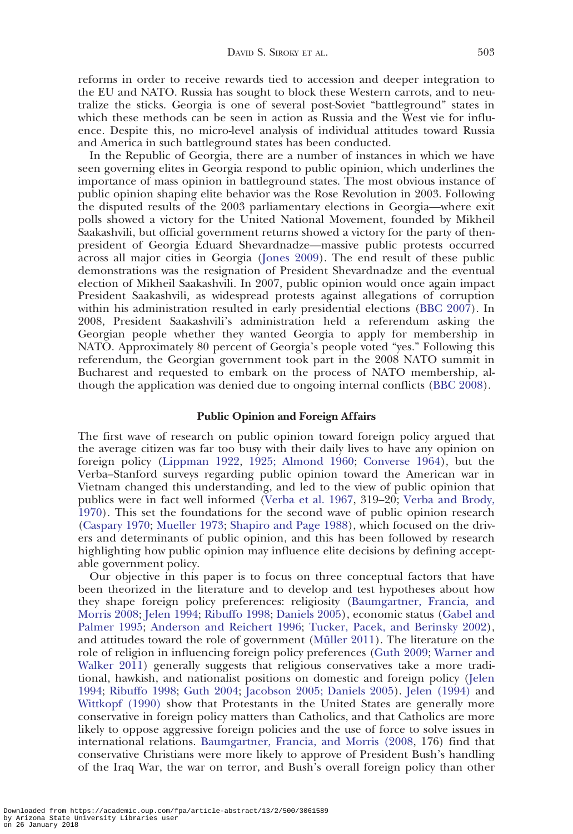reforms in order to receive rewards tied to accession and deeper integration to the EU and NATO. Russia has sought to block these Western carrots, and to neutralize the sticks. Georgia is one of several post-Soviet "battleground" states in which these methods can be seen in action as Russia and the West vie for influence. Despite this, no micro-level analysis of individual attitudes toward Russia and America in such battleground states has been conducted.

In the Republic of Georgia, there are a number of instances in which we have seen governing elites in Georgia respond to public opinion, which underlines the importance of mass opinion in battleground states. The most obvious instance of public opinion shaping elite behavior was the Rose Revolution in 2003. Following the disputed results of the 2003 parliamentary elections in Georgia—where exit polls showed a victory for the United National Movement, founded by Mikheil Saakashvili, but official government returns showed a victory for the party of thenpresident of Georgia Eduard Shevardnadze—massive public protests occurred across all major cities in Georgia [\(Jones 2009](#page-16-0)). The end result of these public demonstrations was the resignation of President Shevardnadze and the eventual election of Mikheil Saakashvili. In 2007, public opinion would once again impact President Saakashvili, as widespread protests against allegations of corruption within his administration resulted in early presidential elections [\(BBC 2007\)](#page-15-0). In 2008, President Saakashvili's administration held a referendum asking the Georgian people whether they wanted Georgia to apply for membership in NATO. Approximately 80 percent of Georgia's people voted "yes." Following this referendum, the Georgian government took part in the 2008 NATO summit in Bucharest and requested to embark on the process of NATO membership, although the application was denied due to ongoing internal conflicts [\(BBC 2008](#page-15-0)).

## Public Opinion and Foreign Affairs

The first wave of research on public opinion toward foreign policy argued that the average citizen was far too busy with their daily lives to have any opinion on foreign policy [\(Lippman 1922,](#page-17-0) [1925](#page-17-0)[; Almond 1960;](#page-15-0) [Converse 1964](#page-15-0)), but the Verba–Stanford surveys regarding public opinion toward the American war in Vietnam changed this understanding, and led to the view of public opinion that publics were in fact well informed ([Verba et al. 1967](#page-17-0), 319–20; [Verba and Brody,](#page-17-0) [1970](#page-17-0)). This set the foundations for the second wave of public opinion research ([Caspary 1970;](#page-15-0) [Mueller 1973](#page-17-0); [Shapiro and Page 1988\)](#page-17-0), which focused on the drivers and determinants of public opinion, and this has been followed by research highlighting how public opinion may influence elite decisions by defining acceptable government policy.

Our objective in this paper is to focus on three conceptual factors that have been theorized in the literature and to develop and test hypotheses about how they shape foreign policy preferences: religiosity ([Baumgartner, Francia, and](#page-15-0) [Morris 2008;](#page-15-0) [Jelen 1994](#page-16-0); [Ribuffo 1998](#page-17-0); [Daniels 2005\)](#page-15-0), economic status [\(Gabel and](#page-16-0) [Palmer 1995](#page-16-0); [Anderson and Reichert 1996](#page-15-0); [Tucker, Pacek, and Berinsky 2002](#page-17-0)), and attitudes toward the role of government (Müller 2011). The literature on the role of religion in influencing foreign policy preferences [\(Guth 2009;](#page-16-0) [Warner and](#page-17-0) [Walker 2011\)](#page-17-0) generally suggests that religious conservatives take a more traditional, hawkish, and nationalist positions on domestic and foreign policy [\(Jelen](#page-16-0) [1994](#page-16-0); [Ribuffo 1998](#page-17-0); [Guth 2004;](#page-16-0) [Jacobson 2005](#page-16-0)[; Daniels 2005](#page-15-0)). [Jelen \(1994\)](#page-16-0) and [Wittkopf \(1990\)](#page-18-0) show that Protestants in the United States are generally more conservative in foreign policy matters than Catholics, and that Catholics are more likely to oppose aggressive foreign policies and the use of force to solve issues in international relations. [Baumgartner, Francia, and Morris \(2008,](#page-15-0) 176) find that conservative Christians were more likely to approve of President Bush's handling of the Iraq War, the war on terror, and Bush's overall foreign policy than other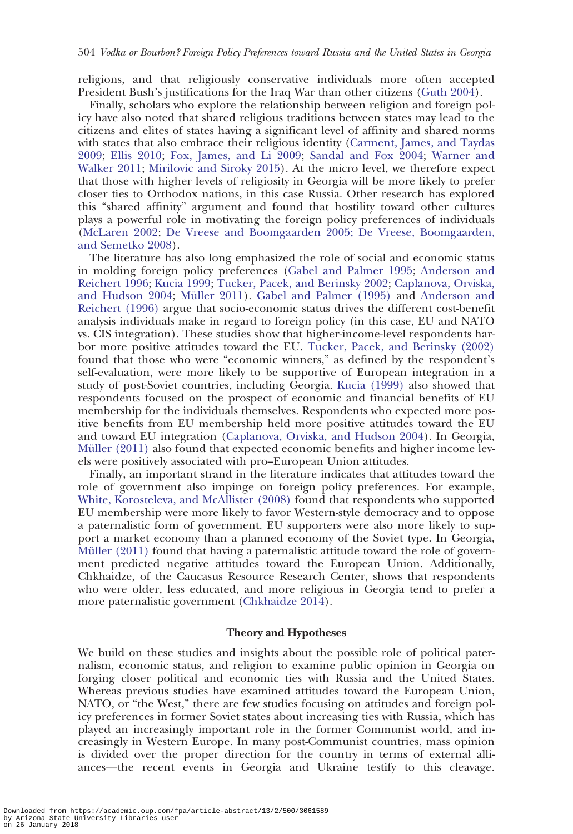religions, and that religiously conservative individuals more often accepted President Bush's justifications for the Iraq War than other citizens ([Guth 2004](#page-16-0)).

Finally, scholars who explore the relationship between religion and foreign policy have also noted that shared religious traditions between states may lead to the citizens and elites of states having a significant level of affinity and shared norms with states that also embrace their religious identity [\(Carment, James, and Taydas](#page-15-0) [2009](#page-15-0); [Ellis 2010;](#page-15-0) [Fox, James, and Li 2009](#page-16-0); [Sandal and Fox 2004;](#page-17-0) [Warner and](#page-17-0) [Walker 2011](#page-17-0); [Mirilovic and Siroky 2015](#page-17-0)). At the micro level, we therefore expect that those with higher levels of religiosity in Georgia will be more likely to prefer closer ties to Orthodox nations, in this case Russia. Other research has explored this "shared affinity" argument and found that hostility toward other cultures plays a powerful role in motivating the foreign policy preferences of individuals ([McLaren 2002;](#page-17-0) [De Vreese and Boomgaarden 2005; De Vreese, Boomgaarden,](#page-15-0) [and Semetko 2008](#page-15-0)).

The literature has also long emphasized the role of social and economic status in molding foreign policy preferences ([Gabel and Palmer 1995](#page-16-0); [Anderson and](#page-15-0) [Reichert 1996](#page-15-0); [Kucia 1999;](#page-16-0) [Tucker, Pacek, and Berinsky 2002](#page-17-0); [Caplanova, Orviska,](#page-15-0) [and Hudson 2004;](#page-15-0) Müller 2011). [Gabel and Palmer \(1995\)](#page-16-0) and [Anderson and](#page-15-0) [Reichert \(1996\)](#page-15-0) argue that socio-economic status drives the different cost-benefit analysis individuals make in regard to foreign policy (in this case, EU and NATO vs. CIS integration). These studies show that higher-income-level respondents harbor more positive attitudes toward the EU. [Tucker, Pacek, and Berinsky \(2002\)](#page-17-0) found that those who were "economic winners," as defined by the respondent's self-evaluation, were more likely to be supportive of European integration in a study of post-Soviet countries, including Georgia. [Kucia \(1999\)](#page-16-0) also showed that respondents focused on the prospect of economic and financial benefits of EU membership for the individuals themselves. Respondents who expected more positive benefits from EU membership held more positive attitudes toward the EU and toward EU integration [\(Caplanova, Orviska, and Hudson 2004](#page-15-0)). In Georgia, Müller  $(2011)$  also found that expected economic benefits and higher income levels were positively associated with pro–European Union attitudes.

Finally, an important strand in the literature indicates that attitudes toward the role of government also impinge on foreign policy preferences. For example, [White, Korosteleva, and McAllister \(2008\)](#page-17-0) found that respondents who supported EU membership were more likely to favor Western-style democracy and to oppose a paternalistic form of government. EU supporters were also more likely to support a market economy than a planned economy of the Soviet type. In Georgia, Müller  $(2011)$  found that having a paternalistic attitude toward the role of government predicted negative attitudes toward the European Union. Additionally, Chkhaidze, of the Caucasus Resource Research Center, shows that respondents who were older, less educated, and more religious in Georgia tend to prefer a more paternalistic government ([Chkhaidze 2014](#page-15-0)).

## Theory and Hypotheses

We build on these studies and insights about the possible role of political paternalism, economic status, and religion to examine public opinion in Georgia on forging closer political and economic ties with Russia and the United States. Whereas previous studies have examined attitudes toward the European Union, NATO, or "the West," there are few studies focusing on attitudes and foreign policy preferences in former Soviet states about increasing ties with Russia, which has played an increasingly important role in the former Communist world, and increasingly in Western Europe. In many post-Communist countries, mass opinion is divided over the proper direction for the country in terms of external alliances—the recent events in Georgia and Ukraine testify to this cleavage.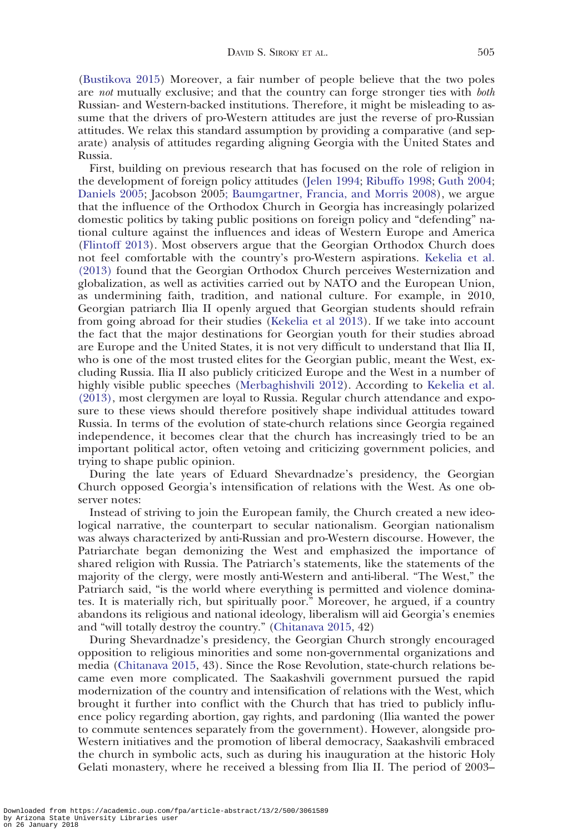([Bustikova 2015](#page-16-0)) Moreover, a fair number of people believe that the two poles are not mutually exclusive; and that the country can forge stronger ties with *both* Russian- and Western-backed institutions. Therefore, it might be misleading to assume that the drivers of pro-Western attitudes are just the reverse of pro-Russian attitudes. We relax this standard assumption by providing a comparative (and separate) analysis of attitudes regarding aligning Georgia with the United States and Russia.

First, building on previous research that has focused on the role of religion in the development of foreign policy attitudes ([Jelen 1994;](#page-16-0) [Ribuffo 1998;](#page-17-0) [Guth 2004;](#page-16-0) [Daniels 2005](#page-15-0); Jacobson 200[5; Baumgartner, Francia, and Morris 2008\)](#page-15-0), we argue that the influence of the Orthodox Church in Georgia has increasingly polarized domestic politics by taking public positions on foreign policy and "defending" national culture against the influences and ideas of Western Europe and America ([Flintoff 2013\)](#page-16-0). Most observers argue that the Georgian Orthodox Church does not feel comfortable with the country's pro-Western aspirations. [Kekelia et al.](#page-16-0) [\(2013\)](#page-16-0) found that the Georgian Orthodox Church perceives Westernization and globalization, as well as activities carried out by NATO and the European Union, as undermining faith, tradition, and national culture. For example, in 2010, Georgian patriarch Ilia II openly argued that Georgian students should refrain from going abroad for their studies [\(Kekelia et al 2013\)](#page-16-0). If we take into account the fact that the major destinations for Georgian youth for their studies abroad are Europe and the United States, it is not very difficult to understand that Ilia II, who is one of the most trusted elites for the Georgian public, meant the West, excluding Russia. Ilia II also publicly criticized Europe and the West in a number of highly visible public speeches [\(Merbaghishvili 2012](#page-17-0)). According to [Kekelia et al.](#page-16-0) [\(2013\),](#page-16-0) most clergymen are loyal to Russia. Regular church attendance and exposure to these views should therefore positively shape individual attitudes toward Russia. In terms of the evolution of state-church relations since Georgia regained independence, it becomes clear that the church has increasingly tried to be an important political actor, often vetoing and criticizing government policies, and trying to shape public opinion.

During the late years of Eduard Shevardnadze's presidency, the Georgian Church opposed Georgia's intensification of relations with the West. As one observer notes:

Instead of striving to join the European family, the Church created a new ideological narrative, the counterpart to secular nationalism. Georgian nationalism was always characterized by anti-Russian and pro-Western discourse. However, the Patriarchate began demonizing the West and emphasized the importance of shared religion with Russia. The Patriarch's statements, like the statements of the majority of the clergy, were mostly anti-Western and anti-liberal. "The West," the Patriarch said, "is the world where everything is permitted and violence dominates. It is materially rich, but spiritually poor." Moreover, he argued, if a country abandons its religious and national ideology, liberalism will aid Georgia's enemies and "will totally destroy the country." [\(Chitanava 2015,](#page-15-0) 42)

During Shevardnadze's presidency, the Georgian Church strongly encouraged opposition to religious minorities and some non-governmental organizations and media ([Chitanava 2015](#page-15-0), 43). Since the Rose Revolution, state-church relations became even more complicated. The Saakashvili government pursued the rapid modernization of the country and intensification of relations with the West, which brought it further into conflict with the Church that has tried to publicly influence policy regarding abortion, gay rights, and pardoning (Ilia wanted the power to commute sentences separately from the government). However, alongside pro-Western initiatives and the promotion of liberal democracy, Saakashvili embraced the church in symbolic acts, such as during his inauguration at the historic Holy Gelati monastery, where he received a blessing from Ilia II. The period of 2003–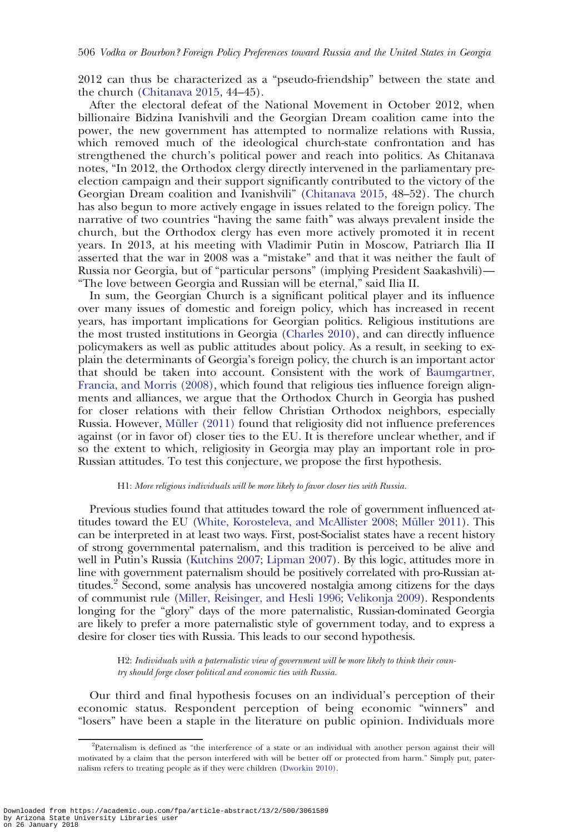2012 can thus be characterized as a "pseudo-friendship" between the state and the church ([Chitanava 2015,](#page-15-0) 44–45).

After the electoral defeat of the National Movement in October 2012, when billionaire Bidzina Ivanishvili and the Georgian Dream coalition came into the power, the new government has attempted to normalize relations with Russia, which removed much of the ideological church-state confrontation and has strengthened the church's political power and reach into politics. As Chitanava notes, "In 2012, the Orthodox clergy directly intervened in the parliamentary preelection campaign and their support significantly contributed to the victory of the Georgian Dream coalition and Ivanishvili" ([Chitanava 2015,](#page-15-0) 48–52). The church has also begun to more actively engage in issues related to the foreign policy. The narrative of two countries "having the same faith" was always prevalent inside the church, but the Orthodox clergy has even more actively promoted it in recent years. In 2013, at his meeting with Vladimir Putin in Moscow, Patriarch Ilia II asserted that the war in 2008 was a "mistake" and that it was neither the fault of Russia nor Georgia, but of "particular persons" (implying President Saakashvili)— "The love between Georgia and Russian will be eternal," said Ilia II.

In sum, the Georgian Church is a significant political player and its influence over many issues of domestic and foreign policy, which has increased in recent years, has important implications for Georgian politics. Religious institutions are the most trusted institutions in Georgia [\(Charles 2010](#page-15-0)), and can directly influence policymakers as well as public attitudes about policy. As a result, in seeking to explain the determinants of Georgia's foreign policy, the church is an important actor that should be taken into account. Consistent with the work of [Baumgartner,](#page-15-0) [Francia, and Morris \(2008\),](#page-15-0) which found that religious ties influence foreign alignments and alliances, we argue that the Orthodox Church in Georgia has pushed for closer relations with their fellow Christian Orthodox neighbors, especially Russia. However, Müller (2011) found that religiosity did not influence preferences against (or in favor of) closer ties to the EU. It is therefore unclear whether, and if so the extent to which, religiosity in Georgia may play an important role in pro-Russian attitudes. To test this conjecture, we propose the first hypothesis.

#### H1: More religious individuals will be more likely to favor closer ties with Russia.

Previous studies found that attitudes toward the role of government influenced at-titudes toward the EU [\(White, Korosteleva, and McAllister 2008](#page-17-0); Müller 2011). This can be interpreted in at least two ways. First, post-Socialist states have a recent history of strong governmental paternalism, and this tradition is perceived to be alive and well in Putin's Russia [\(Kutchins 2007;](#page-16-0) [Lipman 2007\)](#page-17-0). By this logic, attitudes more in line with government paternalism should be positively correlated with pro-Russian attitudes.<sup>2</sup> Second, some analysis has uncovered nostalgia among citizens for the days of communist rule [\(Miller, Reisinger, and Hesli 1996](#page-17-0); [Velikonja 2009\)](#page-17-0). Respondents longing for the "glory" days of the more paternalistic, Russian-dominated Georgia are likely to prefer a more paternalistic style of government today, and to express a desire for closer ties with Russia. This leads to our second hypothesis.

H2: Individuals with a paternalistic view of government will be more likely to think their country should forge closer political and economic ties with Russia.

Our third and final hypothesis focuses on an individual's perception of their economic status. Respondent perception of being economic "winners" and "losers" have been a staple in the literature on public opinion. Individuals more

<sup>&</sup>lt;sup>2</sup>Paternalism is defined as "the interference of a state or an individual with another person against their will motivated by a claim that the person interfered with will be better off or protected from harm." Simply put, paternalism refers to treating people as if they were children [\(Dworkin 2010\)](#page-15-0).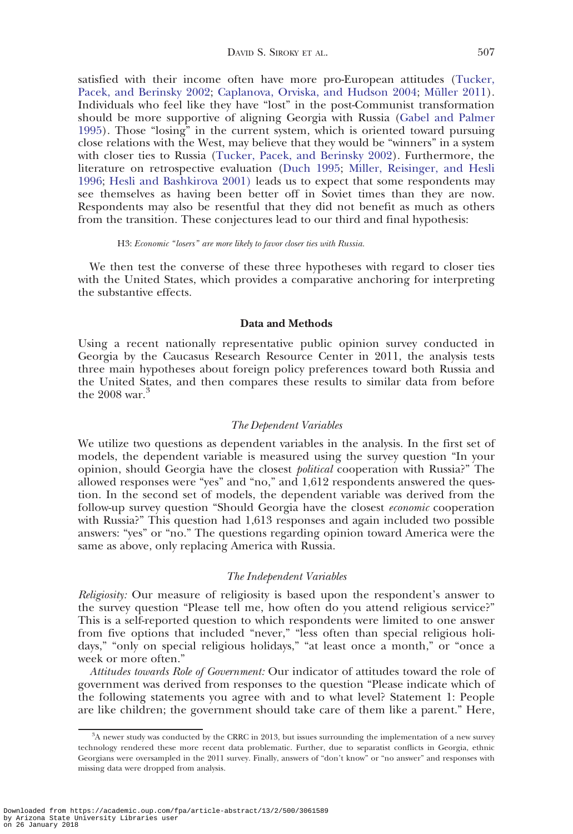satisfied with their income often have more pro-European attitudes ([Tucker,](#page-17-0) [Pacek, and Berinsky 2002;](#page-17-0) [Caplanova, Orviska, and Hudson 2004](#page-15-0); Müller 2011). Individuals who feel like they have "lost" in the post-Communist transformation should be more supportive of aligning Georgia with Russia [\(Gabel and Palmer](#page-16-0) [1995](#page-16-0)). Those "losing" in the current system, which is oriented toward pursuing close relations with the West, may believe that they would be "winners" in a system with closer ties to Russia [\(Tucker, Pacek, and Berinsky 2002\)](#page-17-0). Furthermore, the literature on retrospective evaluation [\(Duch 1995;](#page-15-0) [Miller, Reisinger, and Hesli](#page-17-0) [1996](#page-17-0); [Hesli and Bashkirova 2001\)](#page-16-0) leads us to expect that some respondents may see themselves as having been better off in Soviet times than they are now. Respondents may also be resentful that they did not benefit as much as others from the transition. These conjectures lead to our third and final hypothesis:

## H3: Economic "losers" are more likely to favor closer ties with Russia.

We then test the converse of these three hypotheses with regard to closer ties with the United States, which provides a comparative anchoring for interpreting the substantive effects.

### Data and Methods

Using a recent nationally representative public opinion survey conducted in Georgia by the Caucasus Research Resource Center in 2011, the analysis tests three main hypotheses about foreign policy preferences toward both Russia and the United States, and then compares these results to similar data from before the  $2008$  war.<sup>3</sup>

## The Dependent Variables

We utilize two questions as dependent variables in the analysis. In the first set of models, the dependent variable is measured using the survey question "In your opinion, should Georgia have the closest political cooperation with Russia?" The allowed responses were "yes" and "no," and 1,612 respondents answered the question. In the second set of models, the dependent variable was derived from the follow-up survey question "Should Georgia have the closest economic cooperation with Russia?" This question had 1,613 responses and again included two possible answers: "yes" or "no." The questions regarding opinion toward America were the same as above, only replacing America with Russia.

### The Independent Variables

Religiosity: Our measure of religiosity is based upon the respondent's answer to the survey question "Please tell me, how often do you attend religious service?" This is a self-reported question to which respondents were limited to one answer from five options that included "never," "less often than special religious holidays," "only on special religious holidays," "at least once a month," or "once a week or more often."

Attitudes towards Role of Government: Our indicator of attitudes toward the role of government was derived from responses to the question "Please indicate which of the following statements you agree with and to what level? Statement 1: People are like children; the government should take care of them like a parent." Here,

<sup>3</sup> A newer study was conducted by the CRRC in 2013, but issues surrounding the implementation of a new survey technology rendered these more recent data problematic. Further, due to separatist conflicts in Georgia, ethnic Georgians were oversampled in the 2011 survey. Finally, answers of "don't know" or "no answer" and responses with missing data were dropped from analysis.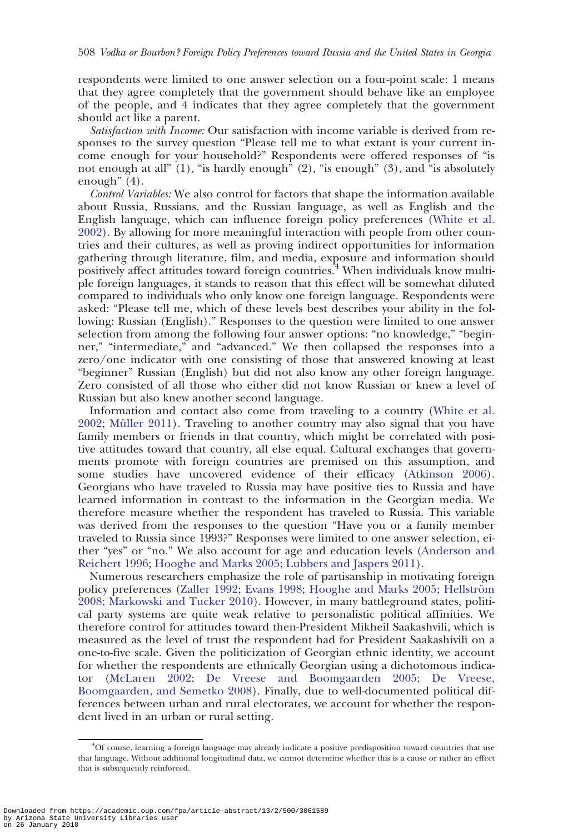respondents were limited to one answer selection on a four-point scale: 1 means that they agree completely that the government should behave like an employee of the people, and 4 indicates that they agree completely that the government should act like a parent.

Satisfaction with Income: Our satisfaction with income variable is derived from responses to the survey question "Please tell me to what extant is your current income enough for your household?" Respondents were offered responses of "is not enough at all"  $(1)$ , "is hardly enough"  $(2)$ , "is enough"  $(3)$ , and "is absolutely enough" (4).

Control Variables: We also control for factors that shape the information available about Russia, Russians, and the Russian language, as well as English and the English language, which can influence foreign policy preferences ([White et al.](#page-18-0) [2002](#page-18-0)). By allowing for more meaningful interaction with people from other countries and their cultures, as well as proving indirect opportunities for information gathering through literature, film, and media, exposure and information should positively affect attitudes toward foreign countries.<sup>4</sup> When individuals know multiple foreign languages, it stands to reason that this effect will be somewhat diluted compared to individuals who only know one foreign language. Respondents were asked: "Please tell me, which of these levels best describes your ability in the following: Russian (English)." Responses to the question were limited to one answer selection from among the following four answer options: "no knowledge," "beginner," "intermediate," and "advanced." We then collapsed the responses into a zero/one indicator with one consisting of those that answered knowing at least "beginner" Russian (English) but did not also know any other foreign language. Zero consisted of all those who either did not know Russian or knew a level of Russian but also knew another second language.

Information and contact also come from traveling to a country [\(White et al.](#page-18-0) [2002](#page-18-0); Müller 2011). Traveling to another country may also signal that you have family members or friends in that country, which might be correlated with positive attitudes toward that country, all else equal. Cultural exchanges that governments promote with foreign countries are premised on this assumption, and some studies have uncovered evidence of their efficacy ([Atkinson 2006](#page-15-0)). Georgians who have traveled to Russia may have positive ties to Russia and have learned information in contrast to the information in the Georgian media. We therefore measure whether the respondent has traveled to Russia. This variable was derived from the responses to the question "Have you or a family member traveled to Russia since 1993?" Responses were limited to one answer selection, either "yes" or "no." We also account for age and education levels [\(Anderson and](#page-15-0) [Reichert 1996](#page-15-0); [Hooghe and Marks 2005;](#page-16-0) [Lubbers and Jaspers 2011](#page-17-0)).

Numerous researchers emphasize the role of partisanship in motivating foreign policy preferences ([Zaller 1992;](#page-18-0) [Evans 1998;](#page-16-0) [Hooghe and Marks 2005](#page-16-0); Hellström [2008](#page-16-0)[; Markowski and Tucker 2010\)](#page-17-0). However, in many battleground states, political party systems are quite weak relative to personalistic political affinities. We therefore control for attitudes toward then-President Mikheil Saakashvili, which is measured as the level of trust the respondent had for President Saakashivili on a one-to-five scale. Given the politicization of Georgian ethnic identity, we account for whether the respondents are ethnically Georgian using a dichotomous indicator ([McLaren 2002](#page-17-0); [De Vreese and Boomgaarden 2005; De Vreese,](#page-15-0) [Boomgaarden, and Semetko 2008\)](#page-15-0). Finally, due to well-documented political differences between urban and rural electorates, we account for whether the respondent lived in an urban or rural setting.

<sup>4</sup> Of course, learning a foreign language may already indicate a positive predisposition toward countries that use that language. Without additional longitudinal data, we cannot determine whether this is a cause or rather an effect that is subsequently reinforced.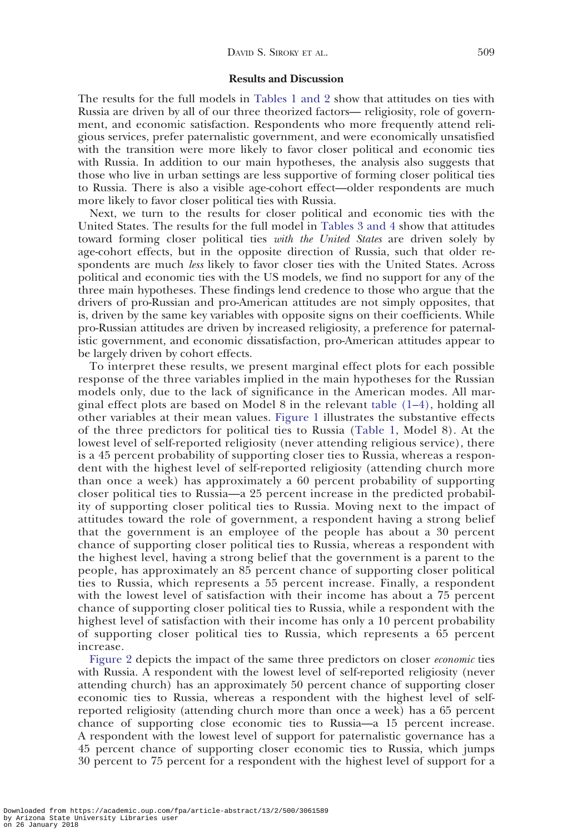# Results and Discussion

The results for the full models in [Tables 1 and](#page-10-0) [2](#page-11-0) show that attitudes on ties with Russia are driven by all of our three theorized factors— religiosity, role of government, and economic satisfaction. Respondents who more frequently attend religious services, prefer paternalistic government, and were economically unsatisfied with the transition were more likely to favor closer political and economic ties with Russia. In addition to our main hypotheses, the analysis also suggests that those who live in urban settings are less supportive of forming closer political ties to Russia. There is also a visible age-cohort effect—older respondents are much more likely to favor closer political ties with Russia.

Next, we turn to the results for closer political and economic ties with the United States. The results for the full model in [Tables 3 and](#page-11-0) [4](#page-12-0) show that attitudes toward forming closer political ties with the United States are driven solely by age-cohort effects, but in the opposite direction of Russia, such that older respondents are much less likely to favor closer ties with the United States. Across political and economic ties with the US models, we find no support for any of the three main hypotheses. These findings lend credence to those who argue that the drivers of pro-Russian and pro-American attitudes are not simply opposites, that is, driven by the same key variables with opposite signs on their coefficients. While pro-Russian attitudes are driven by increased religiosity, a preference for paternalistic government, and economic dissatisfaction, pro-American attitudes appear to be largely driven by cohort effects.

To interpret these results, we present marginal effect plots for each possible response of the three variables implied in the main hypotheses for the Russian models only, due to the lack of significance in the American modes. All marginal effect plots are based on Model 8 in the relevant [table \(1–4\)](#page-12-0), holding all other variables at their mean values. [Figure 1](#page-12-0) illustrates the substantive effects of the three predictors for political ties to Russia ([Table 1,](#page-10-0) Model 8). At the lowest level of self-reported religiosity (never attending religious service), there is a 45 percent probability of supporting closer ties to Russia, whereas a respondent with the highest level of self-reported religiosity (attending church more than once a week) has approximately a 60 percent probability of supporting closer political ties to Russia—a 25 percent increase in the predicted probability of supporting closer political ties to Russia. Moving next to the impact of attitudes toward the role of government, a respondent having a strong belief that the government is an employee of the people has about a 30 percent chance of supporting closer political ties to Russia, whereas a respondent with the highest level, having a strong belief that the government is a parent to the people, has approximately an 85 percent chance of supporting closer political ties to Russia, which represents a 55 percent increase. Finally, a respondent with the lowest level of satisfaction with their income has about a 75 percent chance of supporting closer political ties to Russia, while a respondent with the highest level of satisfaction with their income has only a 10 percent probability of supporting closer political ties to Russia, which represents a 65 percent increase.

[Figure 2](#page-12-0) depicts the impact of the same three predictors on closer economic ties with Russia. A respondent with the lowest level of self-reported religiosity (never attending church) has an approximately 50 percent chance of supporting closer economic ties to Russia, whereas a respondent with the highest level of selfreported religiosity (attending church more than once a week) has a 65 percent chance of supporting close economic ties to Russia—a 15 percent increase. A respondent with the lowest level of support for paternalistic governance has a 45 percent chance of supporting closer economic ties to Russia, which jumps 30 percent to 75 percent for a respondent with the highest level of support for a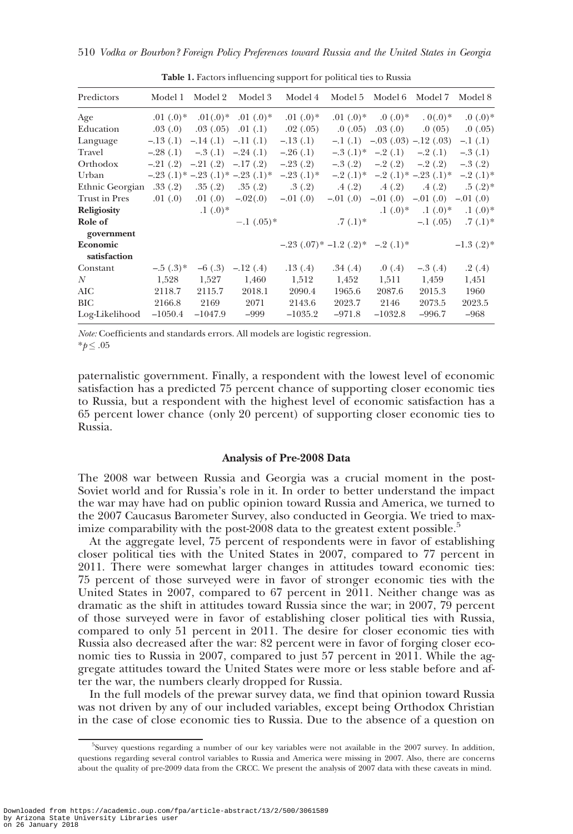<span id="page-10-0"></span>

| Predictors      | Model 1     | Model 2                          | Model 3                                      | Model 4     | Model 5                              | Model 6                     | Model 7                              | Model 8            |
|-----------------|-------------|----------------------------------|----------------------------------------------|-------------|--------------------------------------|-----------------------------|--------------------------------------|--------------------|
| Age             | $.01(0.0)*$ |                                  | $.01(0.0)*$ 0.0 $(0.0)*$                     | $.01(0.0)*$ | $.01(0)*$                            | $0(0.0)*$                   | $0(0.0)*$                            | $0.0$ (.0) *       |
| Education       |             | $.03(.0)$ $.03(.05)$             | .01(.1)                                      | .02(.05)    | .0(0.05)                             | .03(0)                      | .0(05)                               | .0(0.05)           |
| Language        |             | $-.13(.1)$ $-.14(.1)$ $-.11(.1)$ |                                              | $-.13(.1)$  |                                      |                             | $-1(.1)$ $-03(.03)$ $-12(.03)$       | $-.1$ $(.1)$       |
| Travel          |             | $-.28(.1)$ $-.3(.1)$ $-.24(.1)$  |                                              | $-.26(.1)$  |                                      | $-.3$ $(.1)^*$ $-.2$ $(.1)$ | $-.2(.1)$                            | $-.3(.1)$          |
| Orthodox        |             | $-.21(.2)$ $-.21(.2)$ $-.17(.2)$ |                                              | $-.23(.2)$  |                                      | $-.3(.2)$ $-.2(.2)$         | $-.2(.2)$                            | $-.3(.2)$          |
| Urban           |             |                                  | $-.23$ $(.1)*$ $-.23$ $(.1)*$ $-.23$ $(.1)*$ | $-.23(.1)*$ |                                      |                             | $-.2$ (.1)* $-.2$ (.1)* $-.23$ (.1)* | $-.2(.1)*$         |
| Ethnic Georgian |             | $.33(.2)$ $.35(.2)$              | .35(.2)                                      | .3(0.2)     | .4(.2)                               | .4(.2)                      |                                      | $.4(.2)$ $.5(.2)*$ |
| Trust in Pres   |             | $.01(0)$ $.01(0)$ $-02(0)$       |                                              | $-0.01(0)$  | $-0.01(0)$                           |                             | $-.01$ (.0) $-.01$ (.0) $-.01$ (.0)  |                    |
| Religiosity     |             | $(0.1)(0.0)^*$                   |                                              |             |                                      | $(0.0)*$                    | $(0.0)*$                             | $.1(0.0)*$         |
| Role of         |             |                                  | $-.1$ (.05)*                                 |             | $.7(0.1)*$                           |                             | $-.1$ (.05)                          | $.7(0.1)*$         |
| government      |             |                                  |                                              |             |                                      |                             |                                      |                    |
| Economic        |             |                                  |                                              |             | $-23$ (.07)* $-1.2$ (.2)* $-2$ (.1)* |                             |                                      | $-1.3$ $(.2)*$     |
| satisfaction    |             |                                  |                                              |             |                                      |                             |                                      |                    |
| Constant        | $-.5(.3)*$  | $-6(.3)$                         | $-.12(.4)$                                   | .13(.4)     | .34(.4)                              | .0(4)                       | $-.3(.4)$                            | .2(0.4)            |
| N               | 1,528       | 1,527                            | 1,460                                        | 1,512       | 1,452                                | 1,511                       | 1,459                                | 1,451              |
| AIC             | 2118.7      | 2115.7                           | 2018.1                                       | 2090.4      | 1965.6                               | 2087.6                      | 2015.3                               | 1960               |
| BIC             | 2166.8      | 2169                             | 2071                                         | 2143.6      | 2023.7                               | 2146                        | 2073.5                               | 2023.5             |
| Log-Likelihood  | $-1050.4$   | $-1047.9$                        | $-999$                                       | $-1035.2$   | $-971.8$                             | $-1032.8$                   | $-996.7$                             | $-968$             |

Table 1. Factors influencing support for political ties to Russia

Note: Coefficients and standards errors. All models are logistic regression.  $*_{p} \leq .05$ 

paternalistic government. Finally, a respondent with the lowest level of economic satisfaction has a predicted 75 percent chance of supporting closer economic ties to Russia, but a respondent with the highest level of economic satisfaction has a 65 percent lower chance (only 20 percent) of supporting closer economic ties to Russia.

### Analysis of Pre-2008 Data

The 2008 war between Russia and Georgia was a crucial moment in the post-Soviet world and for Russia's role in it. In order to better understand the impact the war may have had on public opinion toward Russia and America, we turned to the 2007 Caucasus Barometer Survey, also conducted in Georgia. We tried to maximize comparability with the post-2008 data to the greatest extent possible.<sup>5</sup>

At the aggregate level, 75 percent of respondents were in favor of establishing closer political ties with the United States in 2007, compared to 77 percent in 2011. There were somewhat larger changes in attitudes toward economic ties: 75 percent of those surveyed were in favor of stronger economic ties with the United States in 2007, compared to 67 percent in 2011. Neither change was as dramatic as the shift in attitudes toward Russia since the war; in 2007, 79 percent of those surveyed were in favor of establishing closer political ties with Russia, compared to only 51 percent in 2011. The desire for closer economic ties with Russia also decreased after the war: 82 percent were in favor of forging closer economic ties to Russia in 2007, compared to just 57 percent in 2011. While the aggregate attitudes toward the United States were more or less stable before and after the war, the numbers clearly dropped for Russia.

In the full models of the prewar survey data, we find that opinion toward Russia was not driven by any of our included variables, except being Orthodox Christian in the case of close economic ties to Russia. Due to the absence of a question on

<sup>5</sup> Survey questions regarding a number of our key variables were not available in the 2007 survey. In addition, questions regarding several control variables to Russia and America were missing in 2007. Also, there are concerns about the quality of pre-2009 data from the CRCC. We present the analysis of 2007 data with these caveats in mind.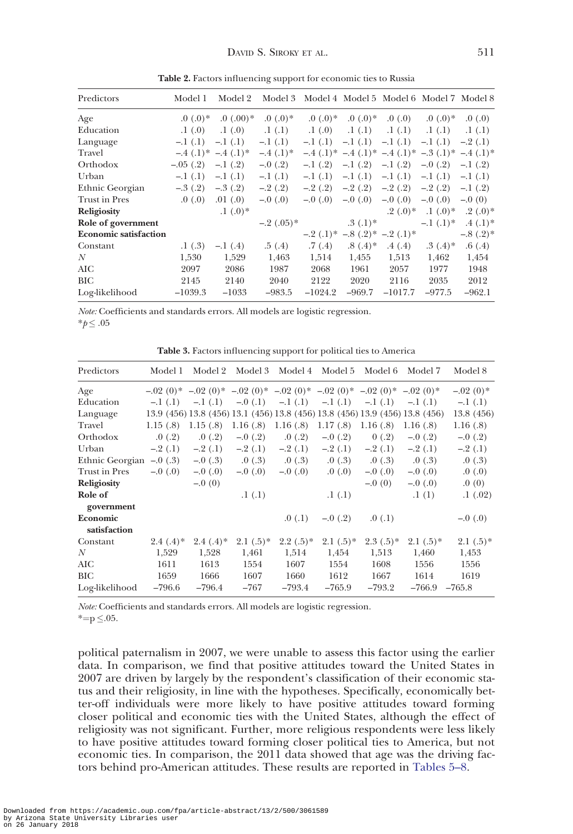<span id="page-11-0"></span>

| Predictors                   | Model 1            | Model 2       |              | Model 3 Model 4 Model 5 Model 6 Model 7 Model 8 |                            |           |                                                        |            |
|------------------------------|--------------------|---------------|--------------|-------------------------------------------------|----------------------------|-----------|--------------------------------------------------------|------------|
| Age                          | (0.0, 0)           | 0.00          | $0.0$ (.0) * | $0.0$ (.0) *                                    | $0.0$ (0.0) *              | 0.0       | $0.0$ (.0) *                                           | .0(0.0)    |
| Education                    | .1(0)              | .1(0)         | .1(.1)       | .1(0.0)                                         | .1(.1)                     | .1(.1)    | .1(.1)                                                 | .1(.1)     |
| Language                     | $-1(.1)$           | $-.1(.1)$     | $-.1$ $(.1)$ | $-1(1)$                                         | $-.1$ $(.1)$               | $-.1(.1)$ | $-1$ (.1)                                              | $-.2(.1)$  |
| Travel                       | $-.4(.1)*-.4(.1)*$ |               | $-.4(.1)*$   |                                                 |                            |           | $-4$ (.1)* $-4$ (.1)* $-4$ (.1)* $-3$ (.1)* $-4$ (.1)* |            |
| Orthodox                     | $-.05(.2)$         | $-1(0.2)$     | $-.0(.2)$    | $-.1(.2)$                                       | $-1(.2)$                   | $-.1(.2)$ | $-.0$ (.2)                                             | $-1(0.2)$  |
| Urban                        | $-.1(.1)$          | $-.1(.1)$     | $-1(1)$      | $-.1(.1)$                                       | $-.1(.1)$                  | $-.1(.1)$ | $-.1(.1)$                                              | $-1$ (.1)  |
| Ethnic Georgian              | $-.3(0.2)$         | $-.3(.2)$     | $-.2(.2)$    | $-.2(.2)$                                       | $-.2(.2)$                  | $-.2(.2)$ | $-.2(.2)$                                              | $-.1(.2)$  |
| Trust in Pres                | .0(0.0)            | .01(0)        | $-0$ (.0)    | $-0$ (.0)                                       | $-0$ (.0)                  | $-0$ (.0) | $-0$ (.0)                                              | $-0(0)$    |
| <b>Religiosity</b>           |                    | $(0.1)(0.0)*$ |              |                                                 |                            | $.2(.0)*$ | $(0.0)*$                                               | $.2(.0)*$  |
| Role of government           |                    |               | $-.2(.05)*$  |                                                 | $.3(0.1)$ *                |           | $-1$ $(0.1)$ *                                         | $.4(.1)$ * |
| <b>Economic satisfaction</b> |                    |               |              |                                                 | $-.2(.1)*-.8(.2)*-.2(.1)*$ |           |                                                        | $-.8(.2)*$ |
| Constant                     | .1(0.3)            | $-1(4)$       | .5(.4)       | .7(0.4)                                         | $.8(.4)*$                  | .4(.4)    | $.3(.4)*$                                              | .6(.4)     |
| N                            | 1,530              | 1,529         | 1,463        | 1,514                                           | 1,455                      | 1,513     | 1,462                                                  | 1,454      |
| AIC                          | 2097               | 2086          | 1987         | 2068                                            | 1961                       | 2057      | 1977                                                   | 1948       |
| BIC                          | 2145               | 2140          | 2040         | 2122                                            | 2020                       | 2116      | 2035                                                   | 2012       |
| Log-likelihood               | $-1039.3$          | $-1033$       | $-983.5$     | $-1024.2$                                       | $-969.7$                   | $-1017.7$ | $-977.5$                                               | $-962.1$   |

Table 2. Factors influencing support for economic ties to Russia

Note: Coefficients and standards errors. All models are logistic regression.

 $**p*≤.05$ 

Table 3. Factors influencing support for political ties to America

| Predictors                                        | Model 1     | Model 2    | Model 3                                                                 |              | Model 4 Model 5 | Model 6     | Model 7                                                                      | Model 8      |
|---------------------------------------------------|-------------|------------|-------------------------------------------------------------------------|--------------|-----------------|-------------|------------------------------------------------------------------------------|--------------|
| Age                                               |             |            | $-0.02(0)*$ -0.2 (0)* -0.2 (0)* -0.2 (0)* -0.2 (0)* -0.2 (0)* -0.2 (0)* |              |                 |             |                                                                              | $-.02(0)$    |
| Education                                         | $-.1(.1)$   | $-.1(.1)$  | $-.0(0.1)$                                                              | $-.1$ $(.1)$ | $-.1(.1)$       |             | $-.1$ $(.1)$ $-.1$ $(.1)$                                                    | $-.1(.1)$    |
| Language                                          |             |            |                                                                         |              |                 |             | 13.9 (456) 13.8 (456) 13.1 (456) 13.8 (456) 13.8 (456) 13.9 (456) 13.8 (456) | 13.8 (456)   |
| Travel                                            | 1.15(.8)    | 1.15(.8)   | 1.16(.8)                                                                | 1.16(.8)     | 1.17(.8)        | 1.16(.8)    | 1.16(.8)                                                                     | 1.16(.8)     |
| Orthodox                                          | .0(0.2)     | .0(0.2)    | $-.0(0.2)$                                                              | .0(0.2)      | $-.0(.2)$       | 0(.2)       | $-.0$ (.2)                                                                   | $-.0$ $(.2)$ |
| Urban                                             | $-.2(.1)$   | $-.2(.1)$  | $-.2(.1)$                                                               | $-.2(.1)$    | $-.2(.1)$       | $-.2(.1)$   | $-.2(.1)$                                                                    | $-.2(.1)$    |
| Ethnic Georgian $-0(.3)$ $-0(.3)$ $0(.3)$ $0(.3)$ |             |            |                                                                         |              | .0(0.3)         |             | $.0(.3) \qquad .0(.3)$                                                       | .0(0.3)      |
| Trust in Pres                                     | $-0$ (.0)   | $-0$ (.0)  | $-0$ (0)                                                                | $-0$ (.0)    | .0(0.0)         | $-0$ (.0)   | $-.0(.0)$                                                                    | .0(0.0)      |
| Religiosity                                       |             | $-0(0)$    |                                                                         |              |                 | $-0(0)$     | $-0$ (.0)                                                                    | .0(0)        |
| Role of                                           |             |            | .1(.1)                                                                  |              | .1(.1)          |             | .1(1)                                                                        | .1(0.02)     |
| government                                        |             |            |                                                                         |              |                 |             |                                                                              |              |
| Economic                                          |             |            |                                                                         | .0(0.1)      | $-.0(0.2)$      | .0(0.1)     |                                                                              | $-0$ (.0)    |
| satisfaction                                      |             |            |                                                                         |              |                 |             |                                                                              |              |
| Constant                                          | $2.4(.4)$ * | $2.4(.4)*$ | $2.1(.5)^*$                                                             | $2.2(.5)*$   | $2.1(.5)^*$     | $2.3(.5)^*$ | $2.1(.5)^*$                                                                  | $2.1(.5)$ *  |
| $\boldsymbol{N}$                                  | 1,529       | 1,528      | 1,461                                                                   | 1,514        | 1,454           | 1,513       | 1,460                                                                        | 1,453        |
| AIC                                               | 1611        | 1613       | 1554                                                                    | 1607         | 1554            | 1608        | 1556                                                                         | 1556         |
| BIC                                               | 1659        | 1666       | 1607                                                                    | 1660         | 1612            | 1667        | 1614                                                                         | 1619         |
| Log-likelihood                                    | $-796.6$    | $-796.4$   | $-767$                                                                  | $-793.4$     | $-765.9$        | $-793.2$    | $-766.9$                                                                     | $-765.8$     |

Note: Coefficients and standards errors. All models are logistic regression.

 $* = p \leq .05$ .

political paternalism in 2007, we were unable to assess this factor using the earlier data. In comparison, we find that positive attitudes toward the United States in 2007 are driven by largely by the respondent's classification of their economic status and their religiosity, in line with the hypotheses. Specifically, economically better-off individuals were more likely to have positive attitudes toward forming closer political and economic ties with the United States, although the effect of religiosity was not significant. Further, more religious respondents were less likely to have positive attitudes toward forming closer political ties to America, but not economic ties. In comparison, the 2011 data showed that age was the driving factors behind pro-American attitudes. These results are reported in [Tables 5–8](#page-14-0).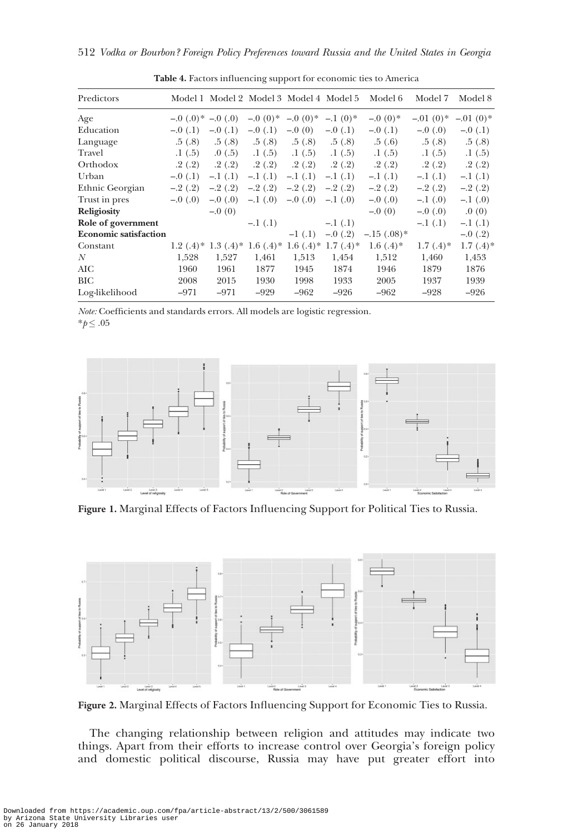<span id="page-12-0"></span>

| Predictors                   |                      |           | Model 1 Model 2 Model 3 Model 4 Model 5                          |           |            | Model 6              | Model 7     | Model 8      |
|------------------------------|----------------------|-----------|------------------------------------------------------------------|-----------|------------|----------------------|-------------|--------------|
| Age                          | $-0$ (.0)* $-0$ (.0) |           | $-0$ (0)*                                                        | $-0.00$   | $-1(0)*$   | $-0.00$ <sup>*</sup> | $-0.01(0)*$ | $-.01(0)*$   |
| Education                    | $-.0(.1)$            | $-.0(.1)$ | $-.0(1)$                                                         | $-0(0)$   | $-.0(.1)$  | $-.0(.1)$            | $-0$ (.0)   | $-.0(.1)$    |
| Language                     | .5(0.8)              | .5(0.8)   | .5(0.8)                                                          | .5(0.8)   | .5(0.8)    | .5(6)                | .5(0.8)     | .5(0.8)      |
| Travel                       | .1(0.5)              | .0(0.5)   | .1(.5)                                                           | .1(0.5)   | .1(0.5)    | .1(0.5)              | .1(0.5)     | .1(.5)       |
| Orthodox                     | .2(.2)               | .2(.2)    | .2(.2)                                                           | .2(.2)    | .2(.2)     | .2(.2)               | .2(.2)      | .2(0.2)      |
| Urban                        | $-.0(.1)$            | $-.1(.1)$ | $-.1(.1)$                                                        | $-.1(.1)$ | $-.1(.1)$  | $-.1(.1)$            | $-.1(.1)$   | $-.1(.1)$    |
| Ethnic Georgian              | $-.2(.2)$            | $-.2(.2)$ | $-.2(.2)$                                                        | $-.2(.2)$ | $-.2(.2)$  | $-.2(.2)$            | $-.2(.2)$   | $-.2(.2)$    |
| Trust in pres                | $-0$ (.0)            | $-0$ (.0) | $-.1$ (.0)                                                       | $-0$ (.0) | $-.1$ (.0) | $-0$ (.0)            | $-1$ (.0)   | $-.1$ (.0)   |
| <b>Religiosity</b>           |                      | $-0(0)$   |                                                                  |           |            | $-0(0)$              | $-0.0$      | .0(0)        |
| Role of government           |                      |           | $-.1(.1)$                                                        |           | $-.1(.1)$  |                      | $-.1(.1)$   | $-.1(.1)$    |
| <b>Economic satisfaction</b> |                      |           |                                                                  | $-1(0.1)$ | $-.0$ (.2) | $-.15(.08)*$         |             | $-.0$ $(.2)$ |
| Constant                     |                      |           | 1.2 $(.4)^*$ 1.3 $(.4)^*$ 1.6 $(.4)^*$ 1.6 $(.4)^*$ 1.7 $(.4)^*$ |           |            | $1.6(.4)$ *          | $1.7(4)*$   | $1.7(.4)$ *  |
| N                            | 1,528                | 1,527     | 1,461                                                            | 1,513     | 1,454      | 1,512                | 1,460       | 1,453        |
| AIC                          | 1960                 | 1961      | 1877                                                             | 1945      | 1874       | 1946                 | 1879        | 1876         |
| BIC                          | 2008                 | 2015      | 1930                                                             | 1998      | 1933       | 2005                 | 1937        | 1939         |
| Log-likelihood               | $-971$               | $-971$    | $-929$                                                           | $-962$    | $-926$     | $-962$               | $-928$      | $-926$       |

Table 4. Factors influencing support for economic ties to America

Note: Coefficients and standards errors. All models are logistic regression.  $*p \leq .05$ 



Figure 1. Marginal Effects of Factors Influencing Support for Political Ties to Russia.



Figure 2. Marginal Effects of Factors Influencing Support for Economic Ties to Russia.

The changing relationship between religion and attitudes may indicate two things. Apart from their efforts to increase control over Georgia's foreign policy and domestic political discourse, Russia may have put greater effort into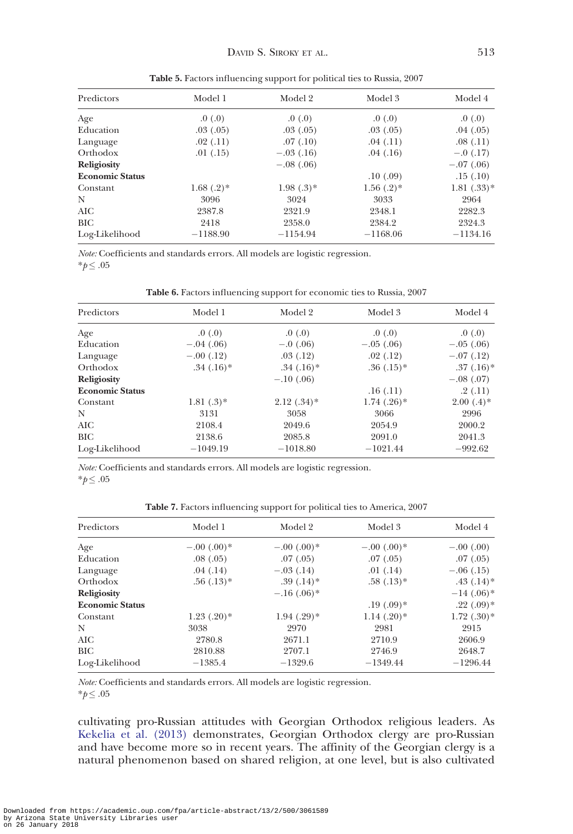| Predictors             | Model 1      | Model 2      | Model 3      | Model 4      |
|------------------------|--------------|--------------|--------------|--------------|
| Age                    | .0(0.0)      | .0(0.0)      | .0(0.0)      | .0(0.0)      |
| Education              | .03(0.05)    | .03(0.05)    | .03(0.05)    | .04(0.05)    |
| Language               | .02(.11)     | .07(0.10)    | .04(.11)     | .08(.11)     |
| Orthodox               | .01(.15)     | $-.03$ (.16) | .04(0.16)    | $-.0$ (.17)  |
| <b>Religiosity</b>     |              | $-.08(.06)$  |              | $-.07(.06)$  |
| <b>Economic Status</b> |              |              | .10(0.09)    | .15(0.10)    |
| Constant               | $1.68(.2)$ * | $1.98(.3)*$  | $1.56(.2)$ * | $1.81(.33)*$ |
| N                      | 3096         | 3024         | 3033         | 2964         |
| AIC                    | 2387.8       | 2321.9       | 2348.1       | 2282.3       |
| BIC                    | 2418         | 2358.0       | 2384.2       | 2324.3       |
| Log-Likelihood         | $-1188.90$   | $-1154.94$   | $-1168.06$   | $-1134.16$   |

Table 5. Factors influencing support for political ties to Russia, 2007

Note: Coefficients and standards errors. All models are logistic regression.  $^*\!p\!\leq .05$ 

Table 6. Factors influencing support for economic ties to Russia, 2007

| Predictors             | Model 1     | Model 2       | Model 3         | Model 4      |
|------------------------|-------------|---------------|-----------------|--------------|
| Age                    | .0(0.0)     | .0(0.0)       | .0(0.0)         | .0(0.0)      |
| Education              | $-.04(.06)$ | $-.0$ (.06)   | $-.05(.06)$     | $-.05(.06)$  |
| Language               | $-.00(.12)$ | .03(.12)      | .02(.12)        | $-.07(.12)$  |
| Orthodox               | $.34(.16)*$ | $.34(.16)*$   | $.36(.15)*$     | $.37(.16)$ * |
| Religiosity            |             | $-.10(.06)$   |                 | $-.08(.07)$  |
| <b>Economic Status</b> |             |               | .16(.11)        | .2(0.11)     |
| Constant               | $1.81(.3)*$ | $2.12(.34)$ * | $1.74$ $(.26)*$ | $2.00(.4)*$  |
| N                      | 3131        | 3058          | 3066            | 2996         |
| AIC                    | 2108.4      | 2049.6        | 2054.9          | 2000.2       |
| <b>BIC</b>             | 2138.6      | 2085.8        | 2091.0          | 2041.3       |
| Log-Likelihood         | $-1049.19$  | $-1018.80$    | $-1021.44$      | $-992.62$    |

Note: Coefficients and standards errors. All models are logistic regression.

 $*_{p} \leq .05$ 

Table 7. Factors influencing support for political ties to America, 2007

| Predictors             | Model 1         | Model 2       | Model 3         | Model 4        |
|------------------------|-----------------|---------------|-----------------|----------------|
| Age                    | $-.00(.00)*$    | $-.00(.00)*$  | $-.00(.00)*$    | $-.00(.00)$    |
| Education              | .08(.05)        | .07(0.05)     | .07(0.05)       | .07(0.05)      |
| Language               | .04(0.14)       | $-.03(.14)$   | .01(0.14)       | $-.06(.15)$    |
| Orthodox               | $.56(.13)*$     | $.39(.14)*$   | $.58(.13)*$     | $.43$ $(.14)*$ |
| Religiosity            |                 | $-.16(.06)*$  |                 | $-14(0.06)*$   |
| <b>Economic Status</b> |                 |               | $.19(0.09)*$    | $.22$ $(.09)*$ |
| Constant               | $1.23$ $(.20)*$ | $1.94(.29)$ * | $1.14$ $(.20)*$ | $1.72(.30)$ *  |
| N                      | 3038            | 2970          | 2981            | 2915           |
| AIC                    | 2780.8          | 2671.1        | 2710.9          | 2606.9         |
| BIC                    | 2810.88         | 2707.1        | 2746.9          | 2648.7         |
| Log-Likelihood         | $-1385.4$       | $-1329.6$     | $-1349.44$      | $-1296.44$     |

Note: Coefficients and standards errors. All models are logistic regression.  $*_{p} \leq .05$ 

cultivating pro-Russian attitudes with Georgian Orthodox religious leaders. As [Kekelia et al. \(2013\)](#page-16-0) demonstrates, Georgian Orthodox clergy are pro-Russian and have become more so in recent years. The affinity of the Georgian clergy is a natural phenomenon based on shared religion, at one level, but is also cultivated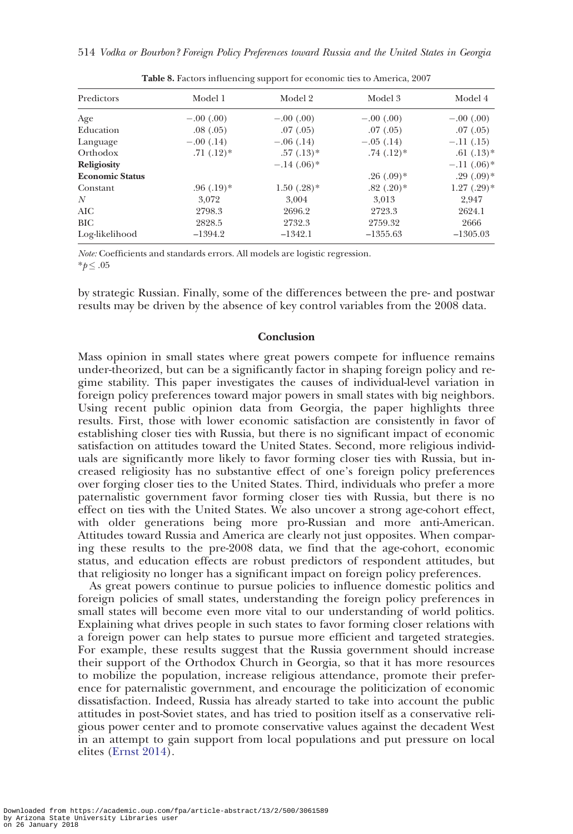<span id="page-14-0"></span>

| Predictors             | Model 1     | Model 2         | Model 3        | Model 4        |
|------------------------|-------------|-----------------|----------------|----------------|
| Age                    | $-.00(.00)$ | $-.00(.00)$     | $-.00(.00)$    | $-.00(.00)$    |
| Education              | .08(.05)    | .07(0.05)       | .07(0.05)      | .07(0.05)      |
| Language               | $-.00(.14)$ | $-.06(.14)$     | $-.05(.14)$    | $-.11(.15)$    |
| Orthodox               | $.71(.12)*$ | $.57(.13)*$     | $.74$ $(.12)*$ | $.61$ $(.13)*$ |
| <b>Religiosity</b>     |             | $-.14(.06)*$    |                | $-.11(.06)*$   |
| <b>Economic Status</b> |             |                 | $.26(.09)$ *   | $.29(.09)*$    |
| Constant               | $.96(.19)*$ | $1.50$ $(.28)*$ | $.82$ $(.20)*$ | $1.27(.29)$ *  |
| N                      | 3,072       | 3.004           | 3.013          | 2,947          |
| AIC                    | 2798.3      | 2696.2          | 2723.3         | 2624.1         |
| BIC                    | 2828.5      | 2732.3          | 2759.32        | 2666           |
| Log-likelihood         | $-1394.2$   | $-1342.1$       | $-1355.63$     | $-1305.03$     |

Table 8. Factors influencing support for economic ties to America, 2007

Note: Coefficients and standards errors. All models are logistic regression.  $*p$  ≤ .05

by strategic Russian. Finally, some of the differences between the pre- and postwar results may be driven by the absence of key control variables from the 2008 data.

# Conclusion

Mass opinion in small states where great powers compete for influence remains under-theorized, but can be a significantly factor in shaping foreign policy and regime stability. This paper investigates the causes of individual-level variation in foreign policy preferences toward major powers in small states with big neighbors. Using recent public opinion data from Georgia, the paper highlights three results. First, those with lower economic satisfaction are consistently in favor of establishing closer ties with Russia, but there is no significant impact of economic satisfaction on attitudes toward the United States. Second, more religious individuals are significantly more likely to favor forming closer ties with Russia, but increased religiosity has no substantive effect of one's foreign policy preferences over forging closer ties to the United States. Third, individuals who prefer a more paternalistic government favor forming closer ties with Russia, but there is no effect on ties with the United States. We also uncover a strong age-cohort effect, with older generations being more pro-Russian and more anti-American. Attitudes toward Russia and America are clearly not just opposites. When comparing these results to the pre-2008 data, we find that the age-cohort, economic status, and education effects are robust predictors of respondent attitudes, but that religiosity no longer has a significant impact on foreign policy preferences.

As great powers continue to pursue policies to influence domestic politics and foreign policies of small states, understanding the foreign policy preferences in small states will become even more vital to our understanding of world politics. Explaining what drives people in such states to favor forming closer relations with a foreign power can help states to pursue more efficient and targeted strategies. For example, these results suggest that the Russia government should increase their support of the Orthodox Church in Georgia, so that it has more resources to mobilize the population, increase religious attendance, promote their preference for paternalistic government, and encourage the politicization of economic dissatisfaction. Indeed, Russia has already started to take into account the public attitudes in post-Soviet states, and has tried to position itself as a conservative religious power center and to promote conservative values against the decadent West in an attempt to gain support from local populations and put pressure on local elites [\(Ernst 2014\)](#page-15-0).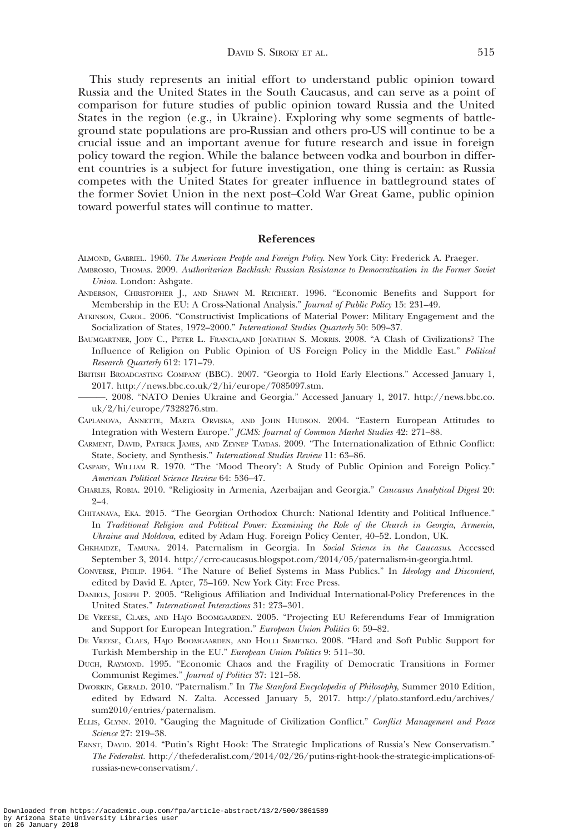<span id="page-15-0"></span>This study represents an initial effort to understand public opinion toward Russia and the United States in the South Caucasus, and can serve as a point of comparison for future studies of public opinion toward Russia and the United States in the region (e.g., in Ukraine). Exploring why some segments of battleground state populations are pro-Russian and others pro-US will continue to be a crucial issue and an important avenue for future research and issue in foreign policy toward the region. While the balance between vodka and bourbon in different countries is a subject for future investigation, one thing is certain: as Russia competes with the United States for greater influence in battleground states of the former Soviet Union in the next post–Cold War Great Game, public opinion toward powerful states will continue to matter.

### References

- ALMOND, GABRIEL. 1960. The American People and Foreign Policy. New York City: Frederick A. Praeger. AMBROSIO, THOMAS. 2009. Authoritarian Backlash: Russian Resistance to Democratization in the Former Soviet Union. London: Ashgate.
- ANDERSON, CHRISTOPHER J., AND SHAWN M. REICHERT. 1996. "Economic Benefits and Support for Membership in the EU: A Cross-National Analysis." Journal of Public Policy 15: 231-49.
- ATKINSON, CAROL. 2006. "Constructivist Implications of Material Power: Military Engagement and the Socialization of States, 1972-2000." International Studies Quarterly 50: 509-37.
- BAUMGARTNER, JODY C., PETER L. FRANCIA,AND JONATHAN S. MORRIS. 2008. "A Clash of Civilizations? The Influence of Religion on Public Opinion of US Foreign Policy in the Middle East." Political Research Quarterly 612: 171–79.
- BRITISH BROADCASTING COMPANY (BBC). 2007. "Georgia to Hold Early Elections." Accessed January 1, 2017. [http://news.bbc.co.uk/2/hi/europe/7085097.stm.](http://news.bbc.co.uk/2/hi/europe/7085097.stm)
- ———. 2008. "NATO Denies Ukraine and Georgia." Accessed January 1, 2017. [http://news.bbc.co.](http://news.bbc.co.uk/2/hi/europe/7328276.stm) [uk/2/hi/europe/7328276.stm](http://news.bbc.co.uk/2/hi/europe/7328276.stm).
- CAPLANOVA, ANNETTE, MARTA ORVISKA, AND JOHN HUDSON. 2004. "Eastern European Attitudes to Integration with Western Europe." JCMS: Journal of Common Market Studies 42: 271–88.
- CARMENT, DAVID, PATRICK JAMES, AND ZEYNEP TAYDAS. 2009. "The Internationalization of Ethnic Conflict: State, Society, and Synthesis." International Studies Review 11: 63–86.
- CASPARY, WILLIAM R. 1970. "The 'Mood Theory': A Study of Public Opinion and Foreign Policy." American Political Science Review 64: 536–47.
- CHARLES, ROBIA. 2010. "Religiosity in Armenia, Azerbaijan and Georgia." Caucasus Analytical Digest 20:  $9 - 4.$
- CHITANAVA, EKA. 2015. "The Georgian Orthodox Church: National Identity and Political Influence." In Traditional Religion and Political Power: Examining the Role of the Church in Georgia, Armenia, Ukraine and Moldova, edited by Adam Hug. Foreign Policy Center, 40–52. London, UK.
- CHKHAIDZE, TAMUNA. 2014. Paternalism in Georgia. In Social Science in the Caucasus. Accessed September 3, 2014. [http://crrc-caucasus.blogspot.com/2014/05/paternalism-in-georgia.html.](http://crrc-caucasus.blogspot.com/2014/05/paternalism-in-georgia.html)
- CONVERSE, PHILIP. 1964. "The Nature of Belief Systems in Mass Publics." In Ideology and Discontent, edited by David E. Apter, 75–169. New York City: Free Press.
- DANIELS, JOSEPH P. 2005. "Religious Affiliation and Individual International-Policy Preferences in the United States." International Interactions 31: 273–301.
- DE VREESE, CLAES, AND HAJO BOOMGAARDEN. 2005. "Projecting EU Referendums Fear of Immigration and Support for European Integration." European Union Politics 6: 59–82.
- DE VREESE, CLAES, HAJO BOOMGAARDEN, AND HOLLI SEMETKO. 2008. "Hard and Soft Public Support for Turkish Membership in the EU." European Union Politics 9: 511–30.
- DUCH, RAYMOND. 1995. "Economic Chaos and the Fragility of Democratic Transitions in Former Communist Regimes." Journal of Politics 37: 121–58.
- DWORKIN, GERALD. 2010. "Paternalism." In The Stanford Encyclopedia of Philosophy, Summer 2010 Edition, edited by Edward N. Zalta. Accessed January 5, 2017. [http://plato.stanford.edu/archives/](http://plato.stanford.edu/archives/sum2010/entries/paternalism) [sum2010/entries/paternalism](http://plato.stanford.edu/archives/sum2010/entries/paternalism).
- ELLIS, GLYNN. 2010. "Gauging the Magnitude of Civilization Conflict." Conflict Management and Peace Science 27: 219–38.
- ERNST, DAVID. 2014. "Putin's Right Hook: The Strategic Implications of Russia's New Conservatism." The Federalist. [http://thefederalist.com/2014/02/26/putins-right-hook-the-strategic-implications-of](http://thefederalist.com/2014/02/26/putins-right-hook-the-strategic-implications-of-russias-new-conservatism/)[russias-new-conservatism/](http://thefederalist.com/2014/02/26/putins-right-hook-the-strategic-implications-of-russias-new-conservatism/).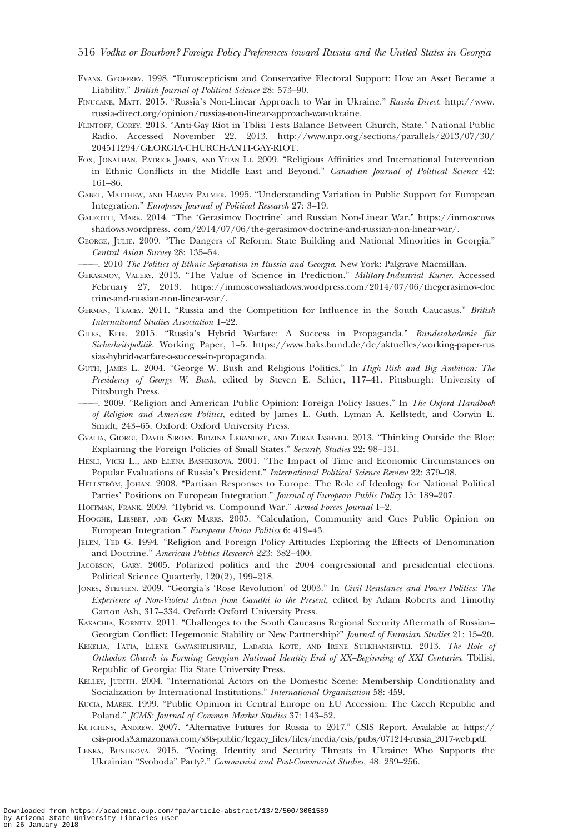- <span id="page-16-0"></span>EVANS, GEOFFREY. 1998. "Euroscepticism and Conservative Electoral Support: How an Asset Became a Liability." British Journal of Political Science 28: 573–90.
- FINUCANE, MATT. 2015. "Russia's Non-Linear Approach to War in Ukraine." Russia Direct. [http://www.](http://www.russia-direct.org/opinion/russias-non-linear-approach-war-ukraine) [russia-direct.org/opinion/russias-non-linear-approach-war-ukraine.](http://www.russia-direct.org/opinion/russias-non-linear-approach-war-ukraine)
- FLINTOFF, COREY. 2013. "Anti-Gay Riot in Tblisi Tests Balance Between Church, State." National Public Radio. Accessed November 22, 2013. [http://www.npr.org/sections/parallels/2013/07/30/](http://www.npr.org/sections/parallels/2013/07/30/204511294/GEORGIA-CHURCH-ANTI-GAY-RIOT) [204511294/GEORGIA-CHURCH-ANTI-GAY-RIOT.](http://www.npr.org/sections/parallels/2013/07/30/204511294/GEORGIA-CHURCH-ANTI-GAY-RIOT)
- FOX, JONATHAN, PATRICK JAMES, AND YITAN LI. 2009. "Religious Affinities and International Intervention in Ethnic Conflicts in the Middle East and Beyond." Canadian Journal of Political Science 42: 161–86.
- GABEL, MATTHEW, AND HARVEY PALMER. 1995. "Understanding Variation in Public Support for European Integration." European Journal of Political Research 27: 3–19.
- GALEOTTI, MARK. 2014. "The 'Gerasimov Doctrine' and Russian Non-Linear War." [https://inmoscows](https://inmoscowsshadows.wordpress. com/2014/07/06/the-gerasimov-doctrine-and-russian-non-linear-war/) [shadows.wordpress. com/2014/07/06/the-gerasimov-doctrine-and-russian-non-linear-war/.](https://inmoscowsshadows.wordpress. com/2014/07/06/the-gerasimov-doctrine-and-russian-non-linear-war/)
- GEORGE, JULIE. 2009. "The Dangers of Reform: State Building and National Minorities in Georgia." Central Asian Survey 28: 135–54.
- ———. 2010 The Politics of Ethnic Separatism in Russia and Georgia. New York: Palgrave Macmillan.
- GERASIMOV, VALERY. 2013. "The Value of Science in Prediction." Military-Industrial Kurier. Accessed February 27, 2013. [https://inmoscowsshadows.wordpress.com/2014/07/06/thegerasimov-doc](https://inmoscowsshadows.wordpress.com/2014/07/06/thegerasimov-doctrine-and-russian-non-linear-war/) [trine-and-russian-non-linear-war/.](https://inmoscowsshadows.wordpress.com/2014/07/06/thegerasimov-doctrine-and-russian-non-linear-war/)
- GERMAN, TRACEY. 2011. "Russia and the Competition for Influence in the South Caucasus." British International Studies Association 1–22.
- GILES, KEIR. 2015. "Russia's Hybrid Warfare: A Success in Propaganda." Bundesakademie für Sicherheitspolitik. Working Paper, 1–5. [https://www.baks.bund.de/de/aktuelles/working-paper-rus](https://www.baks.bund.de/de/aktuelles/working-paper-russias-hybrid-warfare-a-success-in-propaganda) [sias-hybrid-warfare-a-success-in-propaganda.](https://www.baks.bund.de/de/aktuelles/working-paper-russias-hybrid-warfare-a-success-in-propaganda)
- GUTH, JAMES L. 2004. "George W. Bush and Religious Politics." In High Risk and Big Ambition: The Presidency of George W. Bush, edited by Steven E. Schier, 117-41. Pittsburgh: University of Pittsburgh Press.
- -. 2009. "Religion and American Public Opinion: Foreign Policy Issues." In The Oxford Handbook of Religion and American Politics, edited by James L. Guth, Lyman A. Kellstedt, and Corwin E. Smidt, 243–65. Oxford: Oxford University Press.
- GVALIA, GIORGI, DAVID SIROKY, BIDZINA LEBANIDZE, AND ZURAB IASHVILI. 2013. "Thinking Outside the Bloc: Explaining the Foreign Policies of Small States." Security Studies 22: 98-131.
- HESLI, VICKI L., AND ELENA BASHKIROVA. 2001. "The Impact of Time and Economic Circumstances on Popular Evaluations of Russia's President." International Political Science Review 22: 379–98.
- HELLSTRÖM, JOHAN. 2008. "Partisan Responses to Europe: The Role of Ideology for National Political Parties' Positions on European Integration." Journal of European Public Policy 15: 189-207.
- HOFFMAN, FRANK. 2009. "Hybrid vs. Compound War." Armed Forces Journal 1–2.
- HOOGHE, LIESBET, AND GARY MARKS. 2005. "Calculation, Community and Cues Public Opinion on European Integration." European Union Politics 6: 419–43.
- JELEN, TED G. 1994. "Religion and Foreign Policy Attitudes Exploring the Effects of Denomination and Doctrine." American Politics Research 223: 382–400.
- JACOBSON, GARY. 2005. Polarized politics and the 2004 congressional and presidential elections. Political Science Quarterly, 120(2), 199–218.
- JONES, STEPHEN. 2009. "Georgia's 'Rose Revolution' of 2003." In Civil Resistance and Power Politics: The Experience of Non-Violent Action from Gandhi to the Present, edited by Adam Roberts and Timothy Garton Ash, 317–334. Oxford: Oxford University Press.
- KAKACHIA, KORNELY. 2011. "Challenges to the South Caucasus Regional Security Aftermath of Russian– Georgian Conflict: Hegemonic Stability or New Partnership?" Journal of Eurasian Studies 21: 15–20.
- KEKELIA, TATIA, ELENE GAVASHELISHVILI, LADARIA KOTE, AND IRENE SULKHANISHVILI. 2013. The Role of Orthodox Church in Forming Georgian National Identity End of XX–Beginning of XXI Centuries. Tbilisi, Republic of Georgia: Ilia State University Press.
- KELLEY, JUDITH. 2004. "International Actors on the Domestic Scene: Membership Conditionality and Socialization by International Institutions." International Organization 58: 459.
- KUCIA, MAREK. 1999. "Public Opinion in Central Europe on EU Accession: The Czech Republic and Poland." JCMS: Journal of Common Market Studies 37: 143–52.
- KUTCHINS, ANDREW. 2007. "Alternative Futures for Russia to 2017." CSIS Report. Available at [https://](https://csis-prod.s3.amazonaws.com/s3fs-public/legacy_files/files/media/csis/pubs/071214-russia_2017-web.pdf) [csis-prod.s3.amazonaws.com/s3fs-public/legacy\\_files/files/media/csis/pubs/071214-russia\\_2017-web.pdf.](https://csis-prod.s3.amazonaws.com/s3fs-public/legacy_files/files/media/csis/pubs/071214-russia_2017-web.pdf)
- LENKA, BUSTIKOVA. 2015. "Voting, Identity and Security Threats in Ukraine: Who Supports the Ukrainian "Svoboda" Party?." Communist and Post-Communist Studies, 48: 239–256.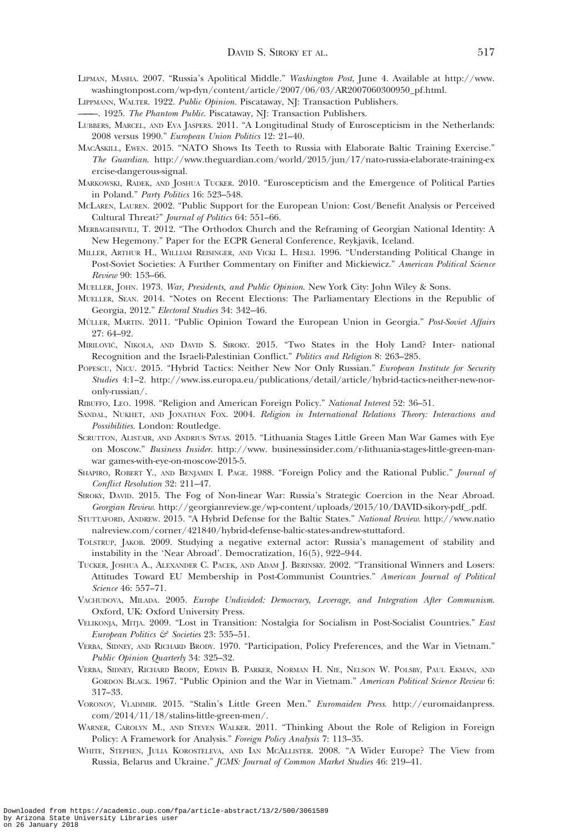- <span id="page-17-0"></span>LIPMAN, MASHA. 2007. "Russia's Apolitical Middle." Washington Post, June 4. Available at [http://www.](http://www.washingtonpost.com/wp-dyn/content/article/2007/06/03/AR2007060300950_pf.html) [washingtonpost.com/wp-dyn/content/article/2007/06/03/AR2007060300950\\_pf.html.](http://www.washingtonpost.com/wp-dyn/content/article/2007/06/03/AR2007060300950_pf.html)
- LIPPMANN, WALTER. 1922. Public Opinion. Piscataway, NJ: Transaction Publishers.
- -. 1925. The Phantom Public. Piscataway, NJ: Transaction Publishers.
- LUBBERS, MARCEL, AND EVA JASPERS. 2011. "A Longitudinal Study of Euroscepticism in the Netherlands: 2008 versus 1990." European Union Politics 12: 21–40.
- MACASKILL, EWEN. 2015. "NATO Shows Its Teeth to Russia with Elaborate Baltic Training Exercise." The Guardian. [http://www.theguardian.com/world/2015/jun/17/nato-russia-elaborate-training-ex](http://www.theguardian.com/world/2015/jun/17/nato-russia-elaborate-training-exercise-dangerous-signal) [ercise-dangerous-signal.](http://www.theguardian.com/world/2015/jun/17/nato-russia-elaborate-training-exercise-dangerous-signal)
- MARKOWSKI, RADEK, AND JOSHUA TUCKER. 2010. "Euroscepticism and the Emergence of Political Parties in Poland." Party Politics 16: 523–548.
- MCLAREN, LAUREN. 2002. "Public Support for the European Union: Cost/Benefit Analysis or Perceived Cultural Threat?" Journal of Politics 64: 551–66.
- MERBAGHISHVILI, T. 2012. "The Orthodox Church and the Reframing of Georgian National Identity: A New Hegemony." Paper for the ECPR General Conference, Reykjavik, Iceland.
- MILLER, ARTHUR H., WILLIAM REISINGER, AND VICKI L. HESLI. 1996. "Understanding Political Change in Post-Soviet Societies: A Further Commentary on Finifter and Mickiewicz." American Political Science Review 90: 153–66.
- MUELLER, JOHN. 1973. War, Presidents, and Public Opinion. New York City: John Wiley & Sons.
- MUELLER, SEAN. 2014. "Notes on Recent Elections: The Parliamentary Elections in the Republic of Georgia, 2012." Electoral Studies 34: 342–46.
- MÜLLER, MARTIN. 2011. "Public Opinion Toward the European Union in Georgia." Post-Soviet Affairs 27: 64–92.
- MIRILOVIC-, NIKOLA, AND DAVID S. SIROKY. 2015. "Two States in the Holy Land? Inter- national Recognition and the Israeli-Palestinian Conflict." Politics and Religion 8: 263–285.
- POPESCU, NICU. 2015. "Hybrid Tactics: Neither New Nor Only Russian." European Institute for Security Studies 4:1–2. [http://www.iss.europa.eu/publications/detail/article/hybrid-tactics-neither-new-nor](http://www.iss.europa.eu/publications/detail/article/hybrid-tactics-neither-new-nor-only-russian/)[only-russian/](http://www.iss.europa.eu/publications/detail/article/hybrid-tactics-neither-new-nor-only-russian/).
- RIBUFFO, LEO. 1998. "Religion and American Foreign Policy." National Interest 52: 36–51.
- SANDAL, NUKHET, AND JONATHAN FOX. 2004. Religion in International Relations Theory: Interactions and Possibilities. London: Routledge.
- SCRUTTON, ALISTAIR, AND ANDRIUS SYTAS. 2015. "Lithuania Stages Little Green Man War Games with Eye on Moscow." Business Insider. [http://www. businessinsider.com/r-lithuania-stages-little-green-man](http://www. businessinsider.com/r-lithuania-stages-little-green-man-war games-with-eye-on-moscow-2015-5)[war games-with-eye-on-moscow-2015-5.](http://www. businessinsider.com/r-lithuania-stages-little-green-man-war games-with-eye-on-moscow-2015-5)
- SHAPIRO, ROBERT Y., AND BENJAMIN I. PAGE. 1988. "Foreign Policy and the Rational Public." Journal of Conflict Resolution 32: 211–47.
- SIROKY, DAVID. 2015. The Fog of Non-linear War: Russia's Strategic Coercion in the Near Abroad. Georgian Review. [http://georgianreview.ge/wp-content/uploads/2015/10/DAVID-sikory-pdf\\_.pdf.](http://georgianreview.ge/wp-content/uploads/2015/10/DAVID-sikory-pdf_.pdf)
- STUTTAFORD, ANDREW. 2015. "A Hybrid Defense for the Baltic States." National Review. [http://www.natio](http://www.nationalreview.com/corner/421840/hybrid-defense-baltic-states-andrew-stuttaford) [nalreview.com/corner/421840/hybrid-defense-baltic-states-andrew-stuttaford.](http://www.nationalreview.com/corner/421840/hybrid-defense-baltic-states-andrew-stuttaford)
- TOLSTRUP, JAKOB. 2009. Studying a negative external actor: Russia's management of stability and instability in the 'Near Abroad'. Democratization, 16(5), 922–944.
- TUCKER, JOSHUA A., ALEXANDER C. PACEK, AND ADAM J. BERINSKY. 2002. "Transitional Winners and Losers: Attitudes Toward EU Membership in Post-Communist Countries." American Journal of Political Science 46: 557–71.
- VACHUDOVA, MILADA. 2005. Europe Undivided: Democracy, Leverage, and Integration After Communism. Oxford, UK: Oxford University Press.
- VELIKONJA, MITJA. 2009. "Lost in Transition: Nostalgia for Socialism in Post-Socialist Countries." East European Politics & Societies 23: 535-51.
- VERBA, SIDNEY, AND RICHARD BRODY. 1970. "Participation, Policy Preferences, and the War in Vietnam." Public Opinion Quarterly 34: 325–32.
- VERBA, SIDNEY, RICHARD BRODY, EDWIN B. PARKER, NORMAN H. NIE, NELSON W. POLSBY, PAUL EKMAN, AND GORDON BLACK. 1967. "Public Opinion and the War in Vietnam." American Political Science Review 6: 317–33.
- VORONOV, VLADIMIR. 2015. "Stalin's Little Green Men." Euromaiden Press. [http://euromaidanpress.](http://euromaidanpress.com/2014/11/18/stalins-little-green-men/) [com/2014/11/18/stalins-little-green-men/.](http://euromaidanpress.com/2014/11/18/stalins-little-green-men/)
- WARNER, CAROLYN M., AND STEVEN WALKER. 2011. "Thinking About the Role of Religion in Foreign Policy: A Framework for Analysis." Foreign Policy Analysis 7: 113-35.
- WHITE, STEPHEN, JULIA KOROSTELEVA, AND IAN MCALLISTER. 2008. "A Wider Europe? The View from Russia, Belarus and Ukraine." JCMS: Journal of Common Market Studies 46: 219–41.